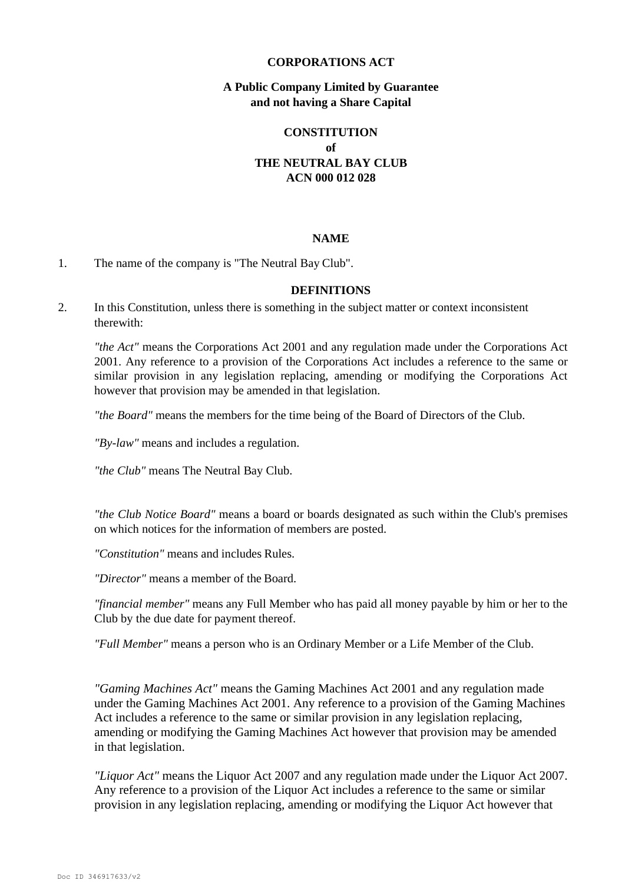### **CORPORATIONS ACT**

### **A Public Company Limited by Guarantee and not having a Share Capital**

# **CONSTITUTION of THE NEUTRAL BAY CLUB ACN 000 012 028**

#### **NAME**

#### 1. The name of the company is "The Neutral Bay Club".

#### **DEFINITIONS**

2. In this Constitution, unless there is something in the subject matter or context inconsistent therewith:

*"the Act"* means the Corporations Act 2001 and any regulation made under the Corporations Act 2001. Any reference to a provision of the Corporations Act includes a reference to the same or similar provision in any legislation replacing, amending or modifying the Corporations Act however that provision may be amended in that legislation.

*"the Board"* means the members for the time being of the Board of Directors of the Club.

*"By-law"* means and includes a regulation.

*"the Club"* means The Neutral Bay Club.

*"the Club Notice Board"* means a board or boards designated as such within the Club's premises on which notices for the information of members are posted.

*"Constitution"* means and includes Rules.

*"Director"* means a member of the Board.

*"financial member"* means any Full Member who has paid all money payable by him or her to the Club by the due date for payment thereof.

*"Full Member"* means a person who is an Ordinary Member or a Life Member of the Club.

*"Gaming Machines Act"* means the Gaming Machines Act 2001 and any regulation made under the Gaming Machines Act 2001. Any reference to a provision of the Gaming Machines Act includes a reference to the same or similar provision in any legislation replacing, amending or modifying the Gaming Machines Act however that provision may be amended in that legislation.

*"Liquor Act"* means the Liquor Act 2007 and any regulation made under the Liquor Act 2007. Any reference to a provision of the Liquor Act includes a reference to the same or similar provision in any legislation replacing, amending or modifying the Liquor Act however that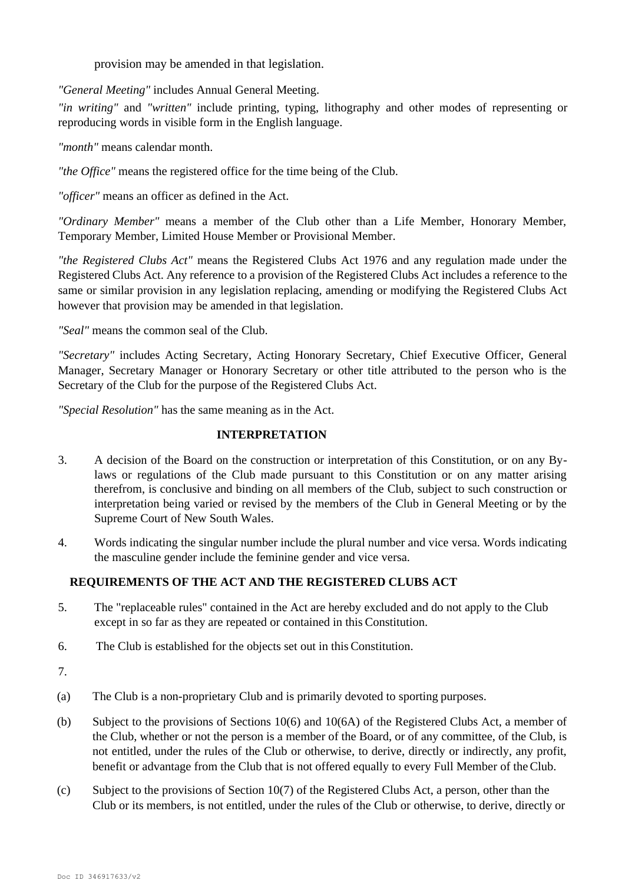provision may be amended in that legislation.

*"General Meeting"* includes Annual General Meeting.

*"in writing"* and *"written"* include printing, typing, lithography and other modes of representing or reproducing words in visible form in the English language.

*"month"* means calendar month.

*"the Office"* means the registered office for the time being of the Club.

*"officer"* means an officer as defined in the Act.

*"Ordinary Member"* means a member of the Club other than a Life Member, Honorary Member, Temporary Member, Limited House Member or Provisional Member.

*"the Registered Clubs Act"* means the Registered Clubs Act 1976 and any regulation made under the Registered Clubs Act. Any reference to a provision of the Registered Clubs Act includes a reference to the same or similar provision in any legislation replacing, amending or modifying the Registered Clubs Act however that provision may be amended in that legislation.

*"Seal"* means the common seal of the Club.

*"Secretary"* includes Acting Secretary, Acting Honorary Secretary, Chief Executive Officer, General Manager, Secretary Manager or Honorary Secretary or other title attributed to the person who is the Secretary of the Club for the purpose of the Registered Clubs Act.

*"Special Resolution"* has the same meaning as in the Act.

# **INTERPRETATION**

- 3. A decision of the Board on the construction or interpretation of this Constitution, or on any Bylaws or regulations of the Club made pursuant to this Constitution or on any matter arising therefrom, is conclusive and binding on all members of the Club, subject to such construction or interpretation being varied or revised by the members of the Club in General Meeting or by the Supreme Court of New South Wales.
- 4. Words indicating the singular number include the plural number and vice versa. Words indicating the masculine gender include the feminine gender and vice versa.

# **REQUIREMENTS OF THE ACT AND THE REGISTERED CLUBS ACT**

- 5. The "replaceable rules" contained in the Act are hereby excluded and do not apply to the Club except in so far as they are repeated or contained in this Constitution.
- 6. The Club is established for the objects set out in thisConstitution.
- 7.
- (a) The Club is a non-proprietary Club and is primarily devoted to sporting purposes.
- (b) Subject to the provisions of Sections 10(6) and 10(6A) of the Registered Clubs Act, a member of the Club, whether or not the person is a member of the Board, or of any committee, of the Club, is not entitled, under the rules of the Club or otherwise, to derive, directly or indirectly, any profit, benefit or advantage from the Club that is not offered equally to every Full Member of theClub.
- (c) Subject to the provisions of Section 10(7) of the Registered Clubs Act, a person, other than the Club or its members, is not entitled, under the rules of the Club or otherwise, to derive, directly or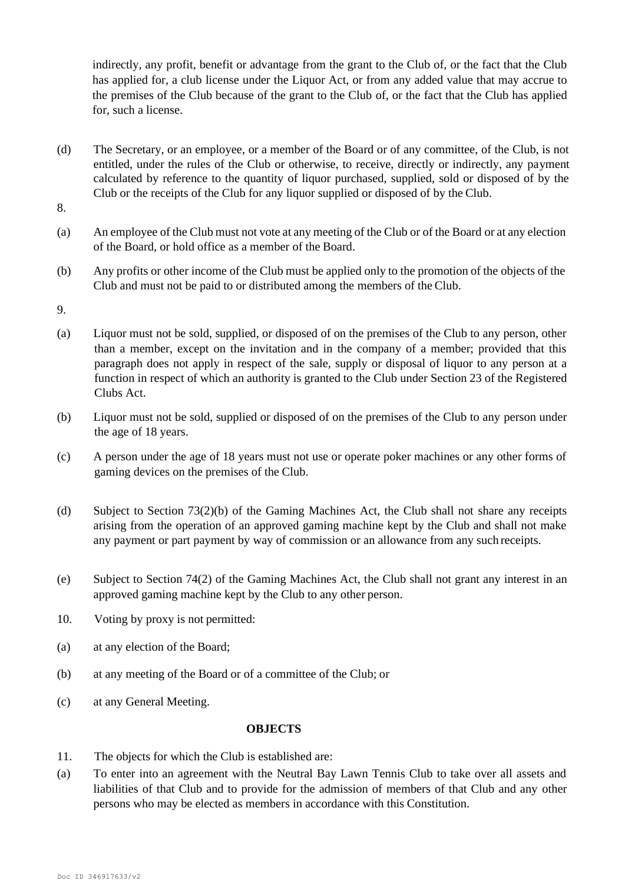indirectly, any profit, benefit or advantage from the grant to the Club of, or the fact that the Club has applied for, a club license under the Liquor Act, or from any added value that may accrue to the premises of the Club because of the grant to the Club of, or the fact that the Club has applied for, such a license.

(d) The Secretary, or an employee, or a member of the Board or of any committee, of the Club, is not entitled, under the rules of the Club or otherwise, to receive, directly or indirectly, any payment calculated by reference to the quantity of liquor purchased, supplied, sold or disposed of by the Club or the receipts of the Club for any liquor supplied or disposed of by the Club.

8.

- (a) An employee of the Club must not vote at any meeting of the Club or of the Board or at any election of the Board, or hold office as a member of the Board.
- (b) Any profits or other income of the Club must be applied only to the promotion of the objects of the Club and must not be paid to or distributed among the members of the Club.
- 9.
- (a) Liquor must not be sold, supplied, or disposed of on the premises of the Club to any person, other than a member, except on the invitation and in the company of a member; provided that this paragraph does not apply in respect of the sale, supply or disposal of liquor to any person at a function in respect of which an authority is granted to the Club under Section 23 of the Registered Clubs Act.
- (b) Liquor must not be sold, supplied or disposed of on the premises of the Club to any person under the age of 18 years.
- (c) A person under the age of 18 years must not use or operate poker machines or any other forms of gaming devices on the premises of the Club.
- (d) Subject to Section 73(2)(b) of the Gaming Machines Act, the Club shall not share any receipts arising from the operation of an approved gaming machine kept by the Club and shall not make any payment or part payment by way of commission or an allowance from any such receipts.
- (e) Subject to Section 74(2) of the Gaming Machines Act, the Club shall not grant any interest in an approved gaming machine kept by the Club to any other person.
- 10. Voting by proxy is not permitted:
- (a) at any election of the Board;
- (b) at any meeting of the Board or of a committee of the Club; or
- (c) at any General Meeting.

# **OBJECTS**

- 11. The objects for which the Club is established are:
- (a) To enter into an agreement with the Neutral Bay Lawn Tennis Club to take over all assets and liabilities of that Club and to provide for the admission of members of that Club and any other persons who may be elected as members in accordance with this Constitution.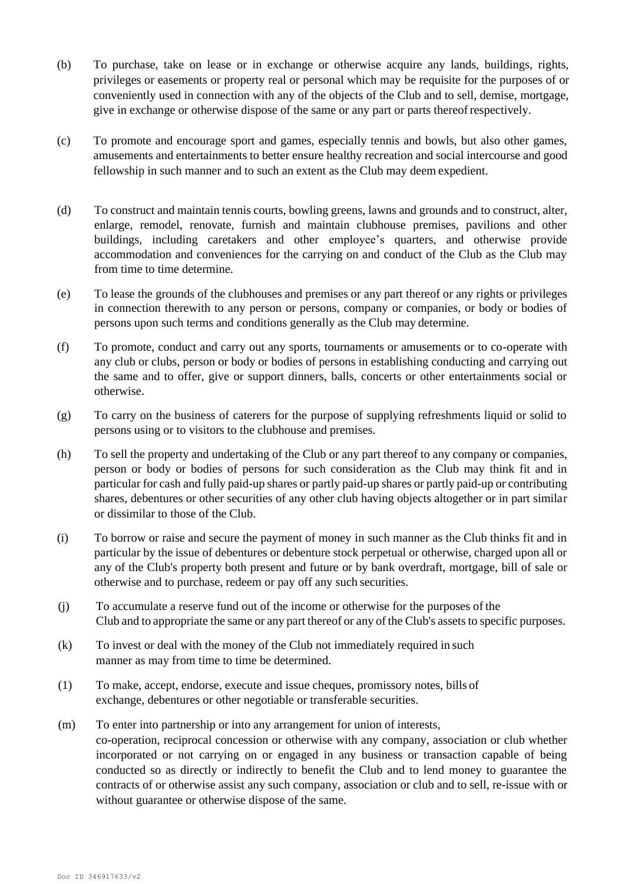- (b) To purchase, take on lease or in exchange or otherwise acquire any lands, buildings, rights, privileges or easements or property real or personal which may be requisite for the purposes of or conveniently used in connection with any of the objects of the Club and to sell, demise, mortgage, give in exchange or otherwise dispose of the same or any part or parts thereofrespectively.
- (c) To promote and encourage sport and games, especially tennis and bowls, but also other games, amusements and entertainments to better ensure healthy recreation and social intercourse and good fellowship in such manner and to such an extent as the Club may deem expedient.
- (d) To construct and maintain tennis courts, bowling greens, lawns and grounds and to construct, alter, enlarge, remodel, renovate, furnish and maintain clubhouse premises, pavilions and other buildings, including caretakers and other employee's quarters, and otherwise provide accommodation and conveniences for the carrying on and conduct of the Club as the Club may from time to time determine.
- (e) To lease the grounds of the clubhouses and premises or any part thereof or any rights or privileges in connection therewith to any person or persons, company or companies, or body or bodies of persons upon such terms and conditions generally as the Club may determine.
- (f) To promote, conduct and carry out any sports, tournaments or amusements or to co-operate with any club or clubs, person or body or bodies of persons in establishing conducting and carrying out the same and to offer, give or support dinners, balls, concerts or other entertainments social or otherwise.
- (g) To carry on the business of caterers for the purpose of supplying refreshments liquid or solid to persons using or to visitors to the clubhouse and premises.
- (h) To sell the property and undertaking of the Club or any part thereof to any company or companies, person or body or bodies of persons for such consideration as the Club may think fit and in particular for cash and fully paid-up shares or partly paid-up shares or partly paid-up or contributing shares, debentures or other securities of any other club having objects altogether or in part similar or dissimilar to those of the Club.
- (i) To borrow or raise and secure the payment of money in such manner as the Club thinks fit and in particular by the issue of debentures or debenture stock perpetual or otherwise, charged upon all or any of the Club's property both present and future or by bank overdraft, mortgage, bill of sale or otherwise and to purchase, redeem or pay off any such securities.
- (j) To accumulate a reserve fund out of the income or otherwise for the purposes of the Club and to appropriate the same or any part thereof or any of the Club's assets to specific purposes.
- (k) To invest or deal with the money of the Club not immediately required in such manner as may from time to time be determined.
- (1) To make, accept, endorse, execute and issue cheques, promissory notes, bills of exchange, debentures or other negotiable or transferable securities.
- (m) To enter into partnership or into any arrangement for union of interests, co-operation, reciprocal concession or otherwise with any company, association or club whether incorporated or not carrying on or engaged in any business or transaction capable of being conducted so as directly or indirectly to benefit the Club and to lend money to guarantee the contracts of or otherwise assist any such company, association or club and to sell, re-issue with or without guarantee or otherwise dispose of the same.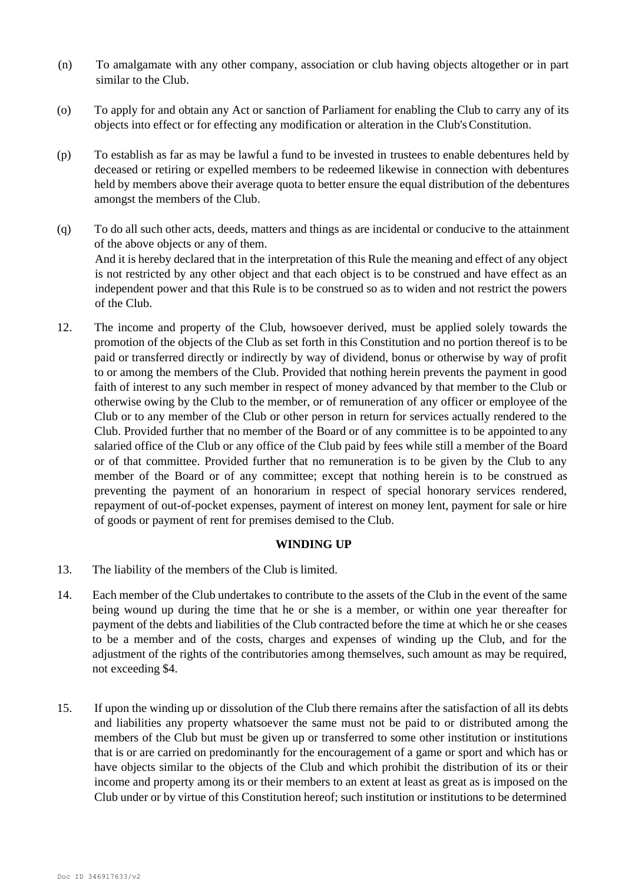- (n) To amalgamate with any other company, association or club having objects altogether or in part similar to the Club.
- (o) To apply for and obtain any Act or sanction of Parliament for enabling the Club to carry any of its objects into effect or for effecting any modification or alteration in the Club'sConstitution.
- (p) To establish as far as may be lawful a fund to be invested in trustees to enable debentures held by deceased or retiring or expelled members to be redeemed likewise in connection with debentures held by members above their average quota to better ensure the equal distribution of the debentures amongst the members of the Club.
- (q) To do all such other acts, deeds, matters and things as are incidental or conducive to the attainment of the above objects or any of them. And it is hereby declared that in the interpretation of this Rule the meaning and effect of any object is not restricted by any other object and that each object is to be construed and have effect as an independent power and that this Rule is to be construed so as to widen and not restrict the powers of the Club.
- 12. The income and property of the Club, howsoever derived, must be applied solely towards the promotion of the objects of the Club as set forth in this Constitution and no portion thereof is to be paid or transferred directly or indirectly by way of dividend, bonus or otherwise by way of profit to or among the members of the Club. Provided that nothing herein prevents the payment in good faith of interest to any such member in respect of money advanced by that member to the Club or otherwise owing by the Club to the member, or of remuneration of any officer or employee of the Club or to any member of the Club or other person in return for services actually rendered to the Club. Provided further that no member of the Board or of any committee is to be appointed to any salaried office of the Club or any office of the Club paid by fees while still a member of the Board or of that committee. Provided further that no remuneration is to be given by the Club to any member of the Board or of any committee; except that nothing herein is to be construed as preventing the payment of an honorarium in respect of special honorary services rendered, repayment of out-of-pocket expenses, payment of interest on money lent, payment for sale or hire of goods or payment of rent for premises demised to the Club.

#### **WINDING UP**

- 13. The liability of the members of the Club is limited.
- 14. Each member of the Club undertakes to contribute to the assets of the Club in the event of the same being wound up during the time that he or she is a member, or within one year thereafter for payment of the debts and liabilities of the Club contracted before the time at which he or she ceases to be a member and of the costs, charges and expenses of winding up the Club, and for the adjustment of the rights of the contributories among themselves, such amount as may be required, not exceeding \$4.
- 15. If upon the winding up or dissolution of the Club there remains after the satisfaction of all its debts and liabilities any property whatsoever the same must not be paid to or distributed among the members of the Club but must be given up or transferred to some other institution or institutions that is or are carried on predominantly for the encouragement of a game or sport and which has or have objects similar to the objects of the Club and which prohibit the distribution of its or their income and property among its or their members to an extent at least as great as is imposed on the Club under or by virtue of this Constitution hereof; such institution or institutions to be determined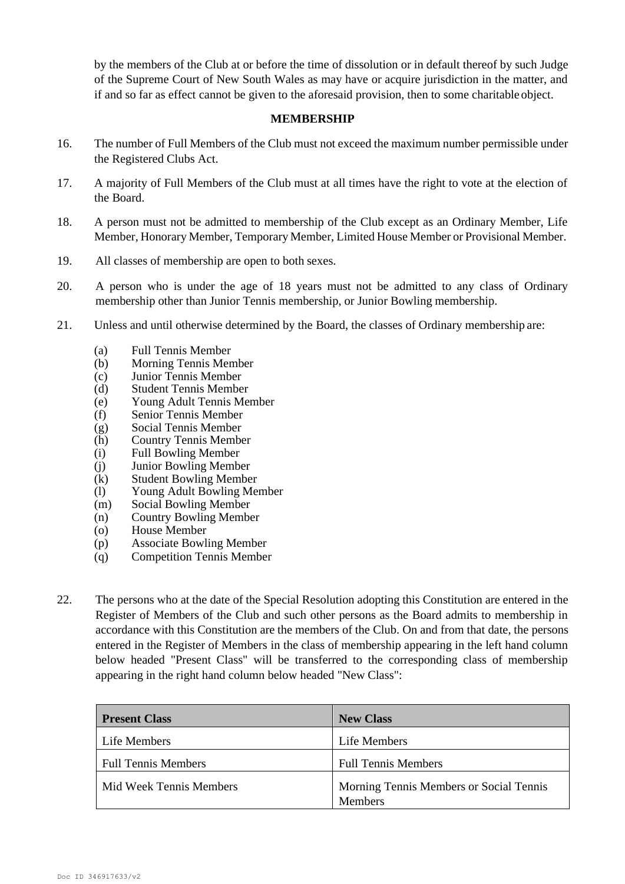by the members of the Club at or before the time of dissolution or in default thereof by such Judge of the Supreme Court of New South Wales as may have or acquire jurisdiction in the matter, and if and so far as effect cannot be given to the aforesaid provision, then to some charitable object.

#### **MEMBERSHIP**

- 16. The number of Full Members of the Club must not exceed the maximum number permissible under the Registered Clubs Act.
- 17. A majority of Full Members of the Club must at all times have the right to vote at the election of the Board.
- 18. A person must not be admitted to membership of the Club except as an Ordinary Member, Life Member, Honorary Member, Temporary Member, Limited House Member or Provisional Member.
- 19. All classes of membership are open to both sexes.
- 20. A person who is under the age of 18 years must not be admitted to any class of Ordinary membership other than Junior Tennis membership, or Junior Bowling membership.
- 21. Unless and until otherwise determined by the Board, the classes of Ordinary membership are:
	-
	- (a) Full Tennis Member Morning Tennis Member
	- (c) Junior Tennis Member
	- (d) Student Tennis Member
	- (e) Young Adult Tennis Member
	- (f) Senior Tennis Member
	- (g) Social Tennis Member
	- (h) Country Tennis Member
	- (i) Full Bowling Member
	- (j) Junior Bowling Member<br>(k) Student Bowling Membe
	- **Student Bowling Member**
	- (l) Young Adult Bowling Member
	- (m) Social Bowling Member
	- (n) Country Bowling Member
	- (o) House Member
	- (p) Associate Bowling Member
	- (q) Competition Tennis Member
- 22. The persons who at the date of the Special Resolution adopting this Constitution are entered in the Register of Members of the Club and such other persons as the Board admits to membership in accordance with this Constitution are the members of the Club. On and from that date, the persons entered in the Register of Members in the class of membership appearing in the left hand column below headed "Present Class" will be transferred to the corresponding class of membership appearing in the right hand column below headed "New Class":

| <b>Present Class</b>       | <b>New Class</b>                        |
|----------------------------|-----------------------------------------|
| Life Members               | Life Members                            |
| <b>Full Tennis Members</b> | <b>Full Tennis Members</b>              |
| Mid Week Tennis Members    | Morning Tennis Members or Social Tennis |
|                            | <b>Members</b>                          |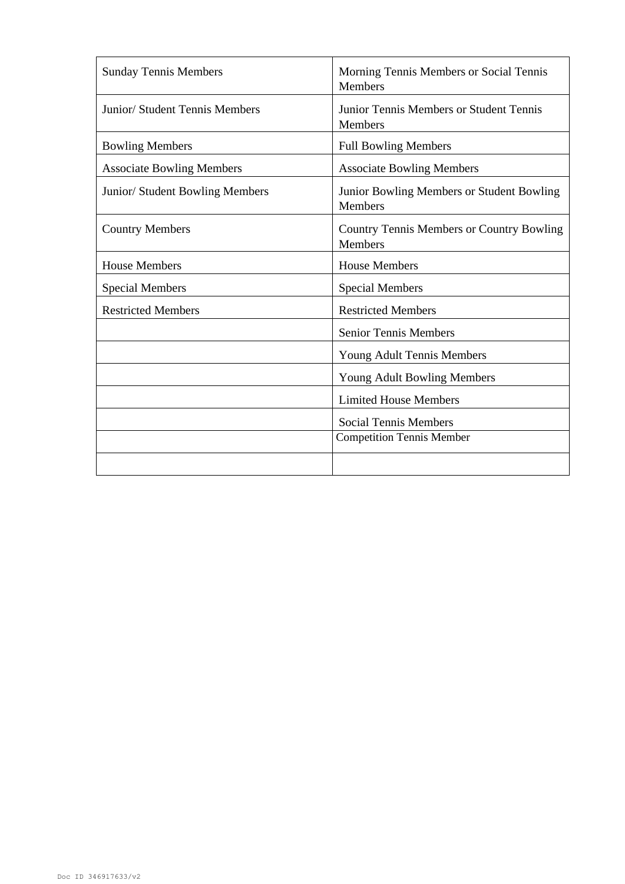| <b>Sunday Tennis Members</b>     | Morning Tennis Members or Social Tennis<br><b>Members</b>   |
|----------------------------------|-------------------------------------------------------------|
| Junior/ Student Tennis Members   | Junior Tennis Members or Student Tennis<br>Members          |
| <b>Bowling Members</b>           | <b>Full Bowling Members</b>                                 |
| <b>Associate Bowling Members</b> | <b>Associate Bowling Members</b>                            |
| Junior/ Student Bowling Members  | Junior Bowling Members or Student Bowling<br>Members        |
| <b>Country Members</b>           | <b>Country Tennis Members or Country Bowling</b><br>Members |
| <b>House Members</b>             | <b>House Members</b>                                        |
| <b>Special Members</b>           | <b>Special Members</b>                                      |
| <b>Restricted Members</b>        | <b>Restricted Members</b>                                   |
|                                  | <b>Senior Tennis Members</b>                                |
|                                  | Young Adult Tennis Members                                  |
|                                  | Young Adult Bowling Members                                 |
|                                  | <b>Limited House Members</b>                                |
|                                  | <b>Social Tennis Members</b>                                |
|                                  | <b>Competition Tennis Member</b>                            |
|                                  |                                                             |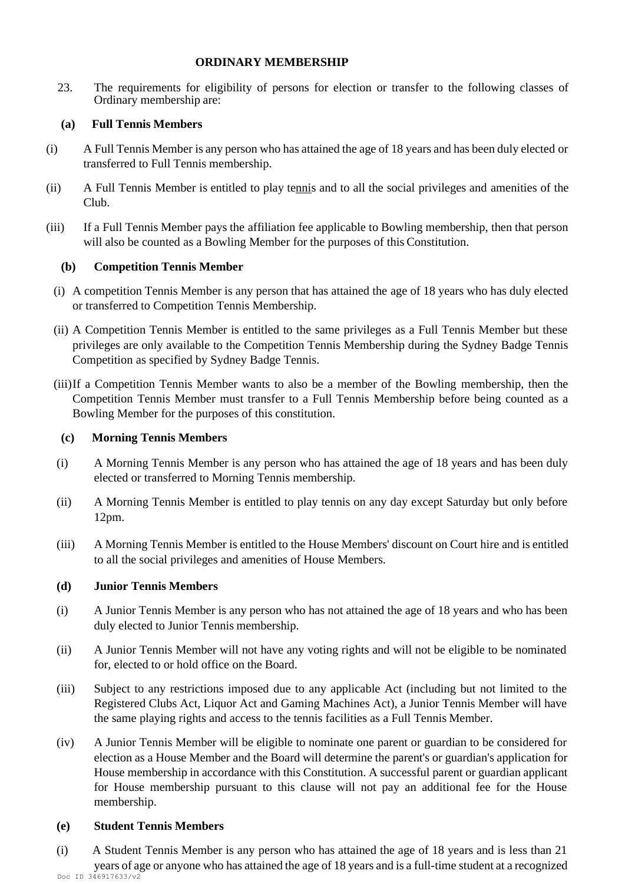### **ORDINARY MEMBERSHIP**

23. The requirements for eligibility of persons for election or transfer to the following classes of Ordinary membership are:

# **(a) Full Tennis Members**

- (i) A Full Tennis Member is any person who has attained the age of 18 years and has been duly elected or transferred to Full Tennis membership.
- (ii) A Full Tennis Member is entitled to play tennis and to all the social privileges and amenities of the Club.
- (iii) If a Full Tennis Member pays the affiliation fee applicable to Bowling membership, then that person will also be counted as a Bowling Member for the purposes of this Constitution.

# **(b) Competition Tennis Member**

- (i) A competition Tennis Member is any person that has attained the age of 18 years who has duly elected or transferred to Competition Tennis Membership.
- (ii) A Competition Tennis Member is entitled to the same privileges as a Full Tennis Member but these privileges are only available to the Competition Tennis Membership during the Sydney Badge Tennis Competition as specified by Sydney Badge Tennis.
- (iii)If a Competition Tennis Member wants to also be a member of the Bowling membership, then the Competition Tennis Member must transfer to a Full Tennis Membership before being counted as a Bowling Member for the purposes of this constitution.

# **(c) Morning Tennis Members**

- (i) A Morning Tennis Member is any person who has attained the age of 18 years and has been duly elected or transferred to Morning Tennis membership.
- (ii) A Morning Tennis Member is entitled to play tennis on any day except Saturday but only before 12pm.
- (iii) A Morning Tennis Member is entitled to the House Members' discount on Court hire and is entitled to all the social privileges and amenities of House Members.

# **(d) Junior Tennis Members**

- (i) A Junior Tennis Member is any person who has not attained the age of 18 years and who has been duly elected to Junior Tennis membership.
- (ii) A Junior Tennis Member will not have any voting rights and will not be eligible to be nominated for, elected to or hold office on the Board.
- (iii) Subject to any restrictions imposed due to any applicable Act (including but not limited to the Registered Clubs Act, Liquor Act and Gaming Machines Act), a Junior Tennis Member will have the same playing rights and access to the tennis facilities as a Full Tennis Member.
- (iv) A Junior Tennis Member will be eligible to nominate one parent or guardian to be considered for election as a House Member and the Board will determine the parent's or guardian's application for House membership in accordance with this Constitution. A successful parent or guardian applicant for House membership pursuant to this clause will not pay an additional fee for the House membership.

# **(e) Student Tennis Members**

Doc ID 346917633/v2 (i) A Student Tennis Member is any person who has attained the age of 18 years and is less than 21 years of age or anyone who has attained the age of 18 years and is a full-time student at a recognized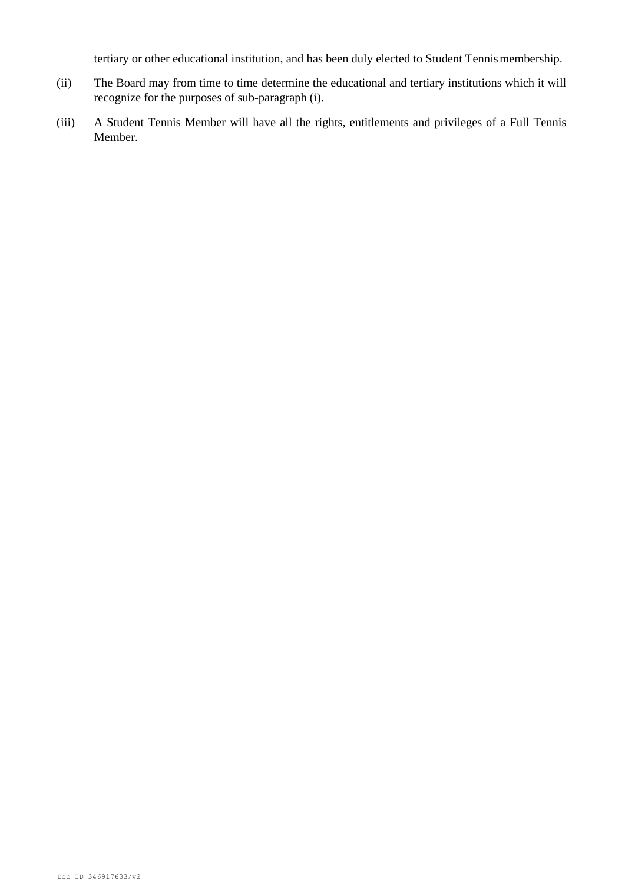tertiary or other educational institution, and has been duly elected to Student Tennis membership.

- (ii) The Board may from time to time determine the educational and tertiary institutions which it will recognize for the purposes of sub-paragraph (i).
- (iii) A Student Tennis Member will have all the rights, entitlements and privileges of a Full Tennis Member.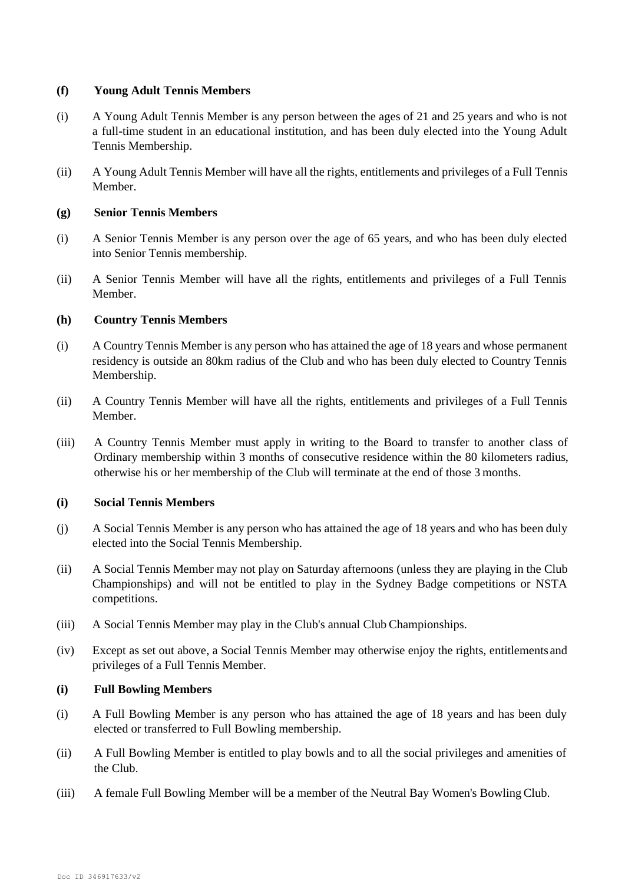### **(f) Young Adult Tennis Members**

- (i) A Young Adult Tennis Member is any person between the ages of 21 and 25 years and who is not a full-time student in an educational institution, and has been duly elected into the Young Adult Tennis Membership.
- (ii) A Young Adult Tennis Member will have all the rights, entitlements and privileges of a Full Tennis Member.

### **(g) Senior Tennis Members**

- (i) A Senior Tennis Member is any person over the age of 65 years, and who has been duly elected into Senior Tennis membership.
- (ii) A Senior Tennis Member will have all the rights, entitlements and privileges of a Full Tennis Member.

### **(h) Country Tennis Members**

- (i) A Country Tennis Member is any person who has attained the age of 18 years and whose permanent residency is outside an 80km radius of the Club and who has been duly elected to Country Tennis Membership.
- (ii) A Country Tennis Member will have all the rights, entitlements and privileges of a Full Tennis Member.
- (iii) A Country Tennis Member must apply in writing to the Board to transfer to another class of Ordinary membership within 3 months of consecutive residence within the 80 kilometers radius, otherwise his or her membership of the Club will terminate at the end of those 3 months.

### **(i) Social Tennis Members**

- (j) A Social Tennis Member is any person who has attained the age of 18 years and who has been duly elected into the Social Tennis Membership.
- (ii) A Social Tennis Member may not play on Saturday afternoons (unless they are playing in the Club Championships) and will not be entitled to play in the Sydney Badge competitions or NSTA competitions.
- (iii) A Social Tennis Member may play in the Club's annual Club Championships.
- (iv) Except as set out above, a Social Tennis Member may otherwise enjoy the rights, entitlements and privileges of a Full Tennis Member.

#### **(i) Full Bowling Members**

- (i) A Full Bowling Member is any person who has attained the age of 18 years and has been duly elected or transferred to Full Bowling membership.
- (ii) A Full Bowling Member is entitled to play bowls and to all the social privileges and amenities of the Club.
- (iii) A female Full Bowling Member will be a member of the Neutral Bay Women's BowlingClub.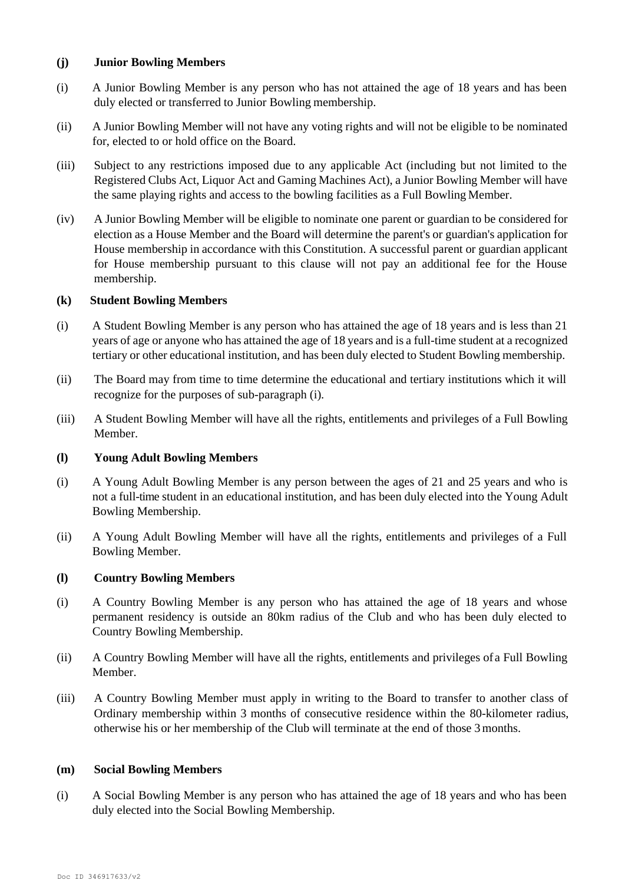### **(j) Junior Bowling Members**

- (i) A Junior Bowling Member is any person who has not attained the age of 18 years and has been duly elected or transferred to Junior Bowling membership.
- (ii) A Junior Bowling Member will not have any voting rights and will not be eligible to be nominated for, elected to or hold office on the Board.
- (iii) Subject to any restrictions imposed due to any applicable Act (including but not limited to the Registered Clubs Act, Liquor Act and Gaming Machines Act), a Junior Bowling Member will have the same playing rights and access to the bowling facilities as a Full Bowling Member.
- (iv) A Junior Bowling Member will be eligible to nominate one parent or guardian to be considered for election as a House Member and the Board will determine the parent's or guardian's application for House membership in accordance with this Constitution. A successful parent or guardian applicant for House membership pursuant to this clause will not pay an additional fee for the House membership.

### **(k) Student Bowling Members**

- (i) A Student Bowling Member is any person who has attained the age of 18 years and is less than 21 years of age or anyone who has attained the age of 18 years and is a full-time student at a recognized tertiary or other educational institution, and has been duly elected to Student Bowling membership.
- (ii) The Board may from time to time determine the educational and tertiary institutions which it will recognize for the purposes of sub-paragraph (i).
- (iii) A Student Bowling Member will have all the rights, entitlements and privileges of a Full Bowling Member.

# **(l) Young Adult Bowling Members**

- (i) A Young Adult Bowling Member is any person between the ages of 21 and 25 years and who is not a full-time student in an educational institution, and has been duly elected into the Young Adult Bowling Membership.
- (ii) A Young Adult Bowling Member will have all the rights, entitlements and privileges of a Full Bowling Member.

# **(l) Country Bowling Members**

- (i) A Country Bowling Member is any person who has attained the age of 18 years and whose permanent residency is outside an 80km radius of the Club and who has been duly elected to Country Bowling Membership.
- (ii) A Country Bowling Member will have all the rights, entitlements and privileges of a Full Bowling Member.
- (iii) A Country Bowling Member must apply in writing to the Board to transfer to another class of Ordinary membership within 3 months of consecutive residence within the 80-kilometer radius, otherwise his or her membership of the Club will terminate at the end of those 3months.

### **(m) Social Bowling Members**

(i) A Social Bowling Member is any person who has attained the age of 18 years and who has been duly elected into the Social Bowling Membership.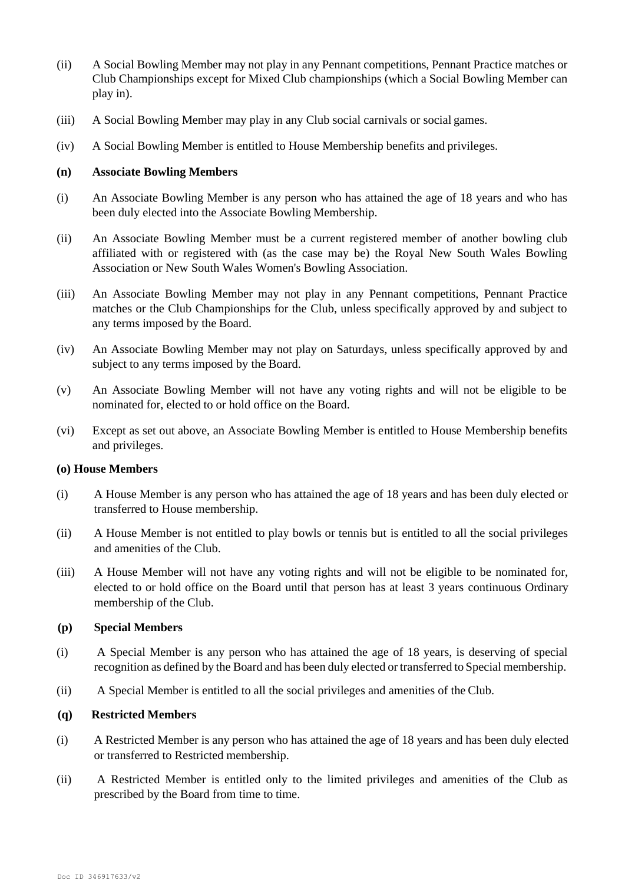- (ii) A Social Bowling Member may not play in any Pennant competitions, Pennant Practice matches or Club Championships except for Mixed Club championships (which a Social Bowling Member can play in).
- (iii) A Social Bowling Member may play in any Club social carnivals or social games.
- (iv) A Social Bowling Member is entitled to House Membership benefits and privileges.

#### **(n) Associate Bowling Members**

- (i) An Associate Bowling Member is any person who has attained the age of 18 years and who has been duly elected into the Associate Bowling Membership.
- (ii) An Associate Bowling Member must be a current registered member of another bowling club affiliated with or registered with (as the case may be) the Royal New South Wales Bowling Association or New South Wales Women's Bowling Association.
- (iii) An Associate Bowling Member may not play in any Pennant competitions, Pennant Practice matches or the Club Championships for the Club, unless specifically approved by and subject to any terms imposed by the Board.
- (iv) An Associate Bowling Member may not play on Saturdays, unless specifically approved by and subject to any terms imposed by the Board.
- (v) An Associate Bowling Member will not have any voting rights and will not be eligible to be nominated for, elected to or hold office on the Board.
- (vi) Except as set out above, an Associate Bowling Member is entitled to House Membership benefits and privileges.

#### **(o) House Members**

- (i) A House Member is any person who has attained the age of 18 years and has been duly elected or transferred to House membership.
- (ii) A House Member is not entitled to play bowls or tennis but is entitled to all the social privileges and amenities of the Club.
- (iii) A House Member will not have any voting rights and will not be eligible to be nominated for, elected to or hold office on the Board until that person has at least 3 years continuous Ordinary membership of the Club.

#### **(p) Special Members**

- (i) A Special Member is any person who has attained the age of 18 years, is deserving of special recognition as defined by the Board and has been duly elected or transferred to Special membership.
- (ii) A Special Member is entitled to all the social privileges and amenities of the Club.

### **(q) Restricted Members**

- (i) A Restricted Member is any person who has attained the age of 18 years and has been duly elected or transferred to Restricted membership.
- (ii) A Restricted Member is entitled only to the limited privileges and amenities of the Club as prescribed by the Board from time to time.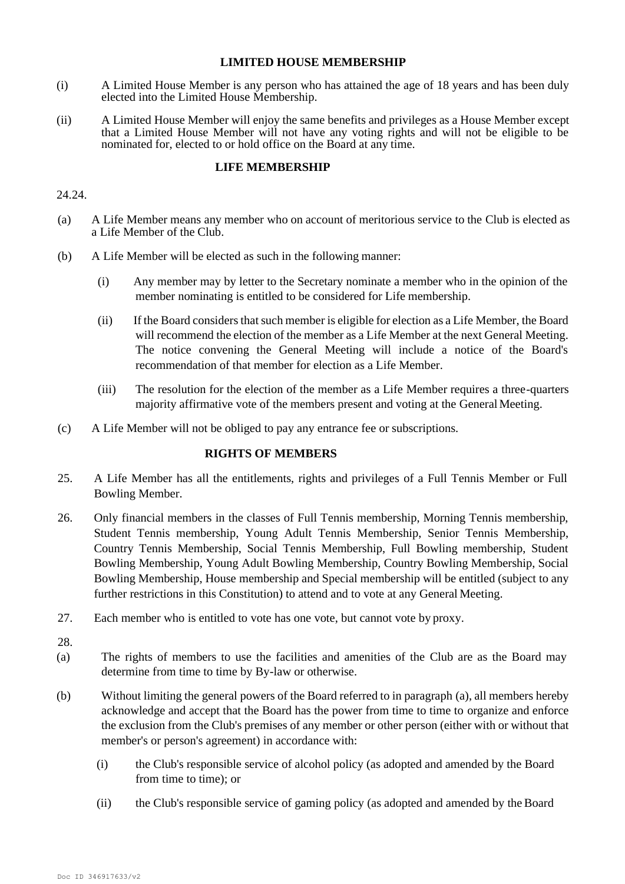#### **LIMITED HOUSE MEMBERSHIP**

- (i) A Limited House Member is any person who has attained the age of 18 years and has been duly elected into the Limited House Membership.
- (ii) A Limited House Member will enjoy the same benefits and privileges as a House Member except that a Limited House Member will not have any voting rights and will not be eligible to be nominated for, elected to or hold office on the Board at any time.

# **LIFE MEMBERSHIP**

#### 24.24.

- (a) A Life Member means any member who on account of meritorious service to the Club is elected as a Life Member of the Club.
- (b) A Life Member will be elected as such in the following manner:
	- (i) Any member may by letter to the Secretary nominate a member who in the opinion of the member nominating is entitled to be considered for Life membership.
	- (ii) If the Board considers that such member is eligible for election as a Life Member, the Board will recommend the election of the member as a Life Member at the next General Meeting. The notice convening the General Meeting will include a notice of the Board's recommendation of that member for election as a Life Member.
	- (iii) The resolution for the election of the member as a Life Member requires a three-quarters majority affirmative vote of the members present and voting at the General Meeting.
- (c) A Life Member will not be obliged to pay any entrance fee or subscriptions.

# **RIGHTS OF MEMBERS**

- 25. A Life Member has all the entitlements, rights and privileges of a Full Tennis Member or Full Bowling Member.
- 26. Only financial members in the classes of Full Tennis membership, Morning Tennis membership, Student Tennis membership, Young Adult Tennis Membership, Senior Tennis Membership, Country Tennis Membership, Social Tennis Membership, Full Bowling membership, Student Bowling Membership, Young Adult Bowling Membership, Country Bowling Membership, Social Bowling Membership, House membership and Special membership will be entitled (subject to any further restrictions in this Constitution) to attend and to vote at any General Meeting.
- 27. Each member who is entitled to vote has one vote, but cannot vote by proxy.
- 28.
- (a) The rights of members to use the facilities and amenities of the Club are as the Board may determine from time to time by By-law or otherwise.
- (b) Without limiting the general powers of the Board referred to in paragraph (a), all members hereby acknowledge and accept that the Board has the power from time to time to organize and enforce the exclusion from the Club's premises of any member or other person (either with or without that member's or person's agreement) in accordance with:
	- (i) the Club's responsible service of alcohol policy (as adopted and amended by the Board from time to time); or
	- (ii) the Club's responsible service of gaming policy (as adopted and amended by theBoard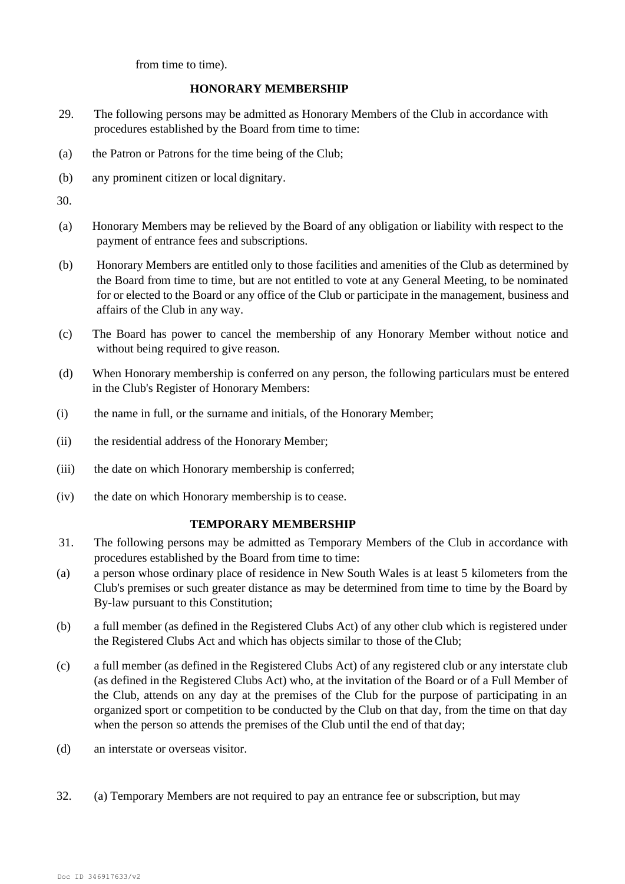from time to time).

### **HONORARY MEMBERSHIP**

- 29. The following persons may be admitted as Honorary Members of the Club in accordance with procedures established by the Board from time to time:
- (a) the Patron or Patrons for the time being of the Club;
- (b) any prominent citizen or local dignitary.

30.

- (a) Honorary Members may be relieved by the Board of any obligation or liability with respect to the payment of entrance fees and subscriptions.
- (b) Honorary Members are entitled only to those facilities and amenities of the Club as determined by the Board from time to time, but are not entitled to vote at any General Meeting, to be nominated for or elected to the Board or any office of the Club or participate in the management, business and affairs of the Club in any way.
- (c) The Board has power to cancel the membership of any Honorary Member without notice and without being required to give reason.
- (d) When Honorary membership is conferred on any person, the following particulars must be entered in the Club's Register of Honorary Members:
- (i) the name in full, or the surname and initials, of the Honorary Member;
- (ii) the residential address of the Honorary Member;
- (iii) the date on which Honorary membership is conferred;
- (iv) the date on which Honorary membership is to cease.

#### **TEMPORARY MEMBERSHIP**

- 31. The following persons may be admitted as Temporary Members of the Club in accordance with procedures established by the Board from time to time:
- (a) a person whose ordinary place of residence in New South Wales is at least 5 kilometers from the Club's premises or such greater distance as may be determined from time to time by the Board by By-law pursuant to this Constitution;
- (b) a full member (as defined in the Registered Clubs Act) of any other club which is registered under the Registered Clubs Act and which has objects similar to those of the Club;
- (c) a full member (as defined in the Registered Clubs Act) of any registered club or any interstate club (as defined in the Registered Clubs Act) who, at the invitation of the Board or of a Full Member of the Club, attends on any day at the premises of the Club for the purpose of participating in an organized sport or competition to be conducted by the Club on that day, from the time on that day when the person so attends the premises of the Club until the end of that day;
- (d) an interstate or overseas visitor.
- 32. (a) Temporary Members are not required to pay an entrance fee or subscription, but may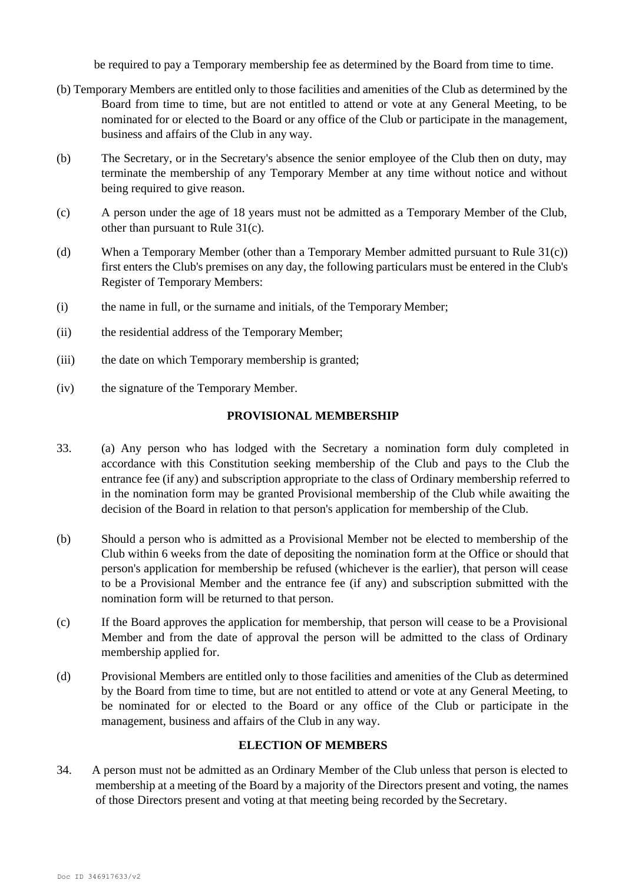be required to pay a Temporary membership fee as determined by the Board from time to time.

- (b) Temporary Members are entitled only to those facilities and amenities of the Club as determined by the Board from time to time, but are not entitled to attend or vote at any General Meeting, to be nominated for or elected to the Board or any office of the Club or participate in the management, business and affairs of the Club in any way.
- (b) The Secretary, or in the Secretary's absence the senior employee of the Club then on duty, may terminate the membership of any Temporary Member at any time without notice and without being required to give reason.
- (c) A person under the age of 18 years must not be admitted as a Temporary Member of the Club, other than pursuant to Rule 31(c).
- (d) When a Temporary Member (other than a Temporary Member admitted pursuant to Rule 31(c)) first enters the Club's premises on any day, the following particulars must be entered in the Club's Register of Temporary Members:
- (i) the name in full, or the surname and initials, of the Temporary Member;
- (ii) the residential address of the Temporary Member;
- (iii) the date on which Temporary membership is granted;
- (iv) the signature of the Temporary Member.

#### **PROVISIONAL MEMBERSHIP**

- 33. (a) Any person who has lodged with the Secretary a nomination form duly completed in accordance with this Constitution seeking membership of the Club and pays to the Club the entrance fee (if any) and subscription appropriate to the class of Ordinary membership referred to in the nomination form may be granted Provisional membership of the Club while awaiting the decision of the Board in relation to that person's application for membership of the Club.
- (b) Should a person who is admitted as a Provisional Member not be elected to membership of the Club within 6 weeks from the date of depositing the nomination form at the Office or should that person's application for membership be refused (whichever is the earlier), that person will cease to be a Provisional Member and the entrance fee (if any) and subscription submitted with the nomination form will be returned to that person.
- (c) If the Board approves the application for membership, that person will cease to be a Provisional Member and from the date of approval the person will be admitted to the class of Ordinary membership applied for.
- (d) Provisional Members are entitled only to those facilities and amenities of the Club as determined by the Board from time to time, but are not entitled to attend or vote at any General Meeting, to be nominated for or elected to the Board or any office of the Club or participate in the management, business and affairs of the Club in any way.

### **ELECTION OF MEMBERS**

34. A person must not be admitted as an Ordinary Member of the Club unless that person is elected to membership at a meeting of the Board by a majority of the Directors present and voting, the names of those Directors present and voting at that meeting being recorded by the Secretary.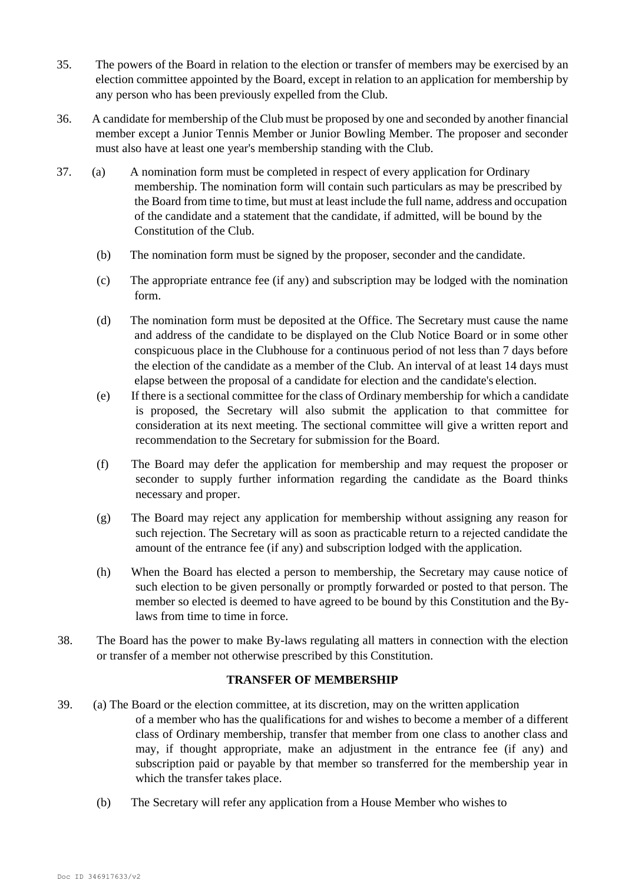- 35. The powers of the Board in relation to the election or transfer of members may be exercised by an election committee appointed by the Board, except in relation to an application for membership by any person who has been previously expelled from the Club.
- 36. A candidate for membership of the Club must be proposed by one and seconded by another financial member except a Junior Tennis Member or Junior Bowling Member. The proposer and seconder must also have at least one year's membership standing with the Club.
- 37. (a) A nomination form must be completed in respect of every application for Ordinary membership. The nomination form will contain such particulars as may be prescribed by the Board from time to time, but must at least include the full name, address and occupation of the candidate and a statement that the candidate, if admitted, will be bound by the Constitution of the Club.
	- (b) The nomination form must be signed by the proposer, seconder and the candidate.
	- (c) The appropriate entrance fee (if any) and subscription may be lodged with the nomination form.
	- (d) The nomination form must be deposited at the Office. The Secretary must cause the name and address of the candidate to be displayed on the Club Notice Board or in some other conspicuous place in the Clubhouse for a continuous period of not less than 7 days before the election of the candidate as a member of the Club. An interval of at least 14 days must elapse between the proposal of a candidate for election and the candidate's election.
	- (e) If there is a sectional committee for the class of Ordinary membership for which a candidate is proposed, the Secretary will also submit the application to that committee for consideration at its next meeting. The sectional committee will give a written report and recommendation to the Secretary for submission for the Board.
	- (f) The Board may defer the application for membership and may request the proposer or seconder to supply further information regarding the candidate as the Board thinks necessary and proper.
	- (g) The Board may reject any application for membership without assigning any reason for such rejection. The Secretary will as soon as practicable return to a rejected candidate the amount of the entrance fee (if any) and subscription lodged with the application.
	- (h) When the Board has elected a person to membership, the Secretary may cause notice of such election to be given personally or promptly forwarded or posted to that person. The member so elected is deemed to have agreed to be bound by this Constitution and the Bylaws from time to time in force.
- 38. The Board has the power to make By-laws regulating all matters in connection with the election or transfer of a member not otherwise prescribed by this Constitution.

# **TRANSFER OF MEMBERSHIP**

- 39. (a) The Board or the election committee, at its discretion, may on the written application of a member who has the qualifications for and wishes to become a member of a different class of Ordinary membership, transfer that member from one class to another class and may, if thought appropriate, make an adjustment in the entrance fee (if any) and subscription paid or payable by that member so transferred for the membership year in which the transfer takes place.
	- (b) The Secretary will refer any application from a House Member who wishes to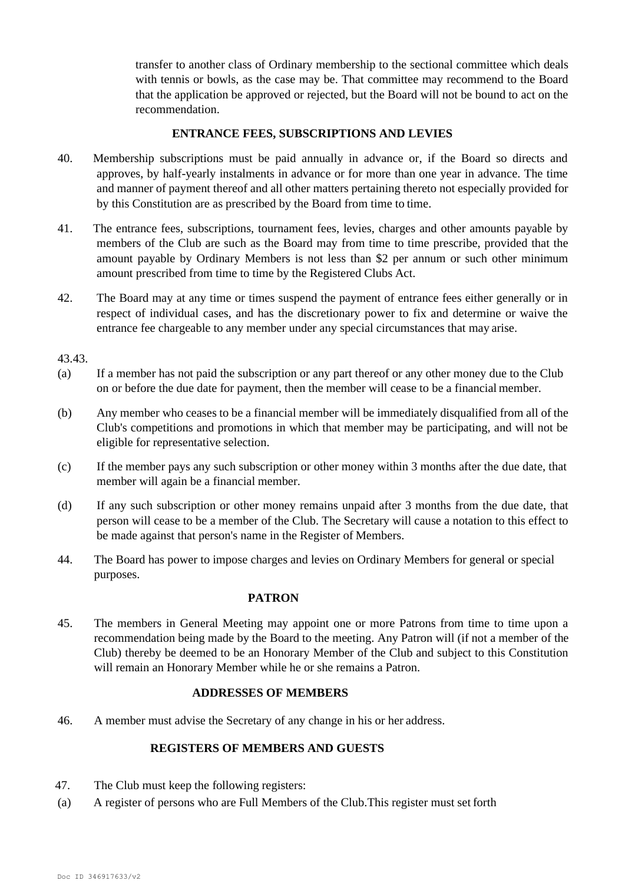transfer to another class of Ordinary membership to the sectional committee which deals with tennis or bowls, as the case may be. That committee may recommend to the Board that the application be approved or rejected, but the Board will not be bound to act on the recommendation.

# **ENTRANCE FEES, SUBSCRIPTIONS AND LEVIES**

- 40. Membership subscriptions must be paid annually in advance or, if the Board so directs and approves, by half-yearly instalments in advance or for more than one year in advance. The time and manner of payment thereof and all other matters pertaining thereto not especially provided for by this Constitution are as prescribed by the Board from time to time.
- 41. The entrance fees, subscriptions, tournament fees, levies, charges and other amounts payable by members of the Club are such as the Board may from time to time prescribe, provided that the amount payable by Ordinary Members is not less than \$2 per annum or such other minimum amount prescribed from time to time by the Registered Clubs Act.
- 42. The Board may at any time or times suspend the payment of entrance fees either generally or in respect of individual cases, and has the discretionary power to fix and determine or waive the entrance fee chargeable to any member under any special circumstances that may arise.

43.43.

- (a) If a member has not paid the subscription or any part thereof or any other money due to the Club on or before the due date for payment, then the member will cease to be a financial member.
- (b) Any member who ceases to be a financial member will be immediately disqualified from all of the Club's competitions and promotions in which that member may be participating, and will not be eligible for representative selection.
- (c) If the member pays any such subscription or other money within 3 months after the due date, that member will again be a financial member.
- (d) If any such subscription or other money remains unpaid after 3 months from the due date, that person will cease to be a member of the Club. The Secretary will cause a notation to this effect to be made against that person's name in the Register of Members.
- 44. The Board has power to impose charges and levies on Ordinary Members for general or special purposes.

#### **PATRON**

45. The members in General Meeting may appoint one or more Patrons from time to time upon a recommendation being made by the Board to the meeting. Any Patron will (if not a member of the Club) thereby be deemed to be an Honorary Member of the Club and subject to this Constitution will remain an Honorary Member while he or she remains a Patron.

#### **ADDRESSES OF MEMBERS**

46. A member must advise the Secretary of any change in his or her address.

# **REGISTERS OF MEMBERS AND GUESTS**

- 47. The Club must keep the following registers:
- (a) A register of persons who are Full Members of the Club.This register must set forth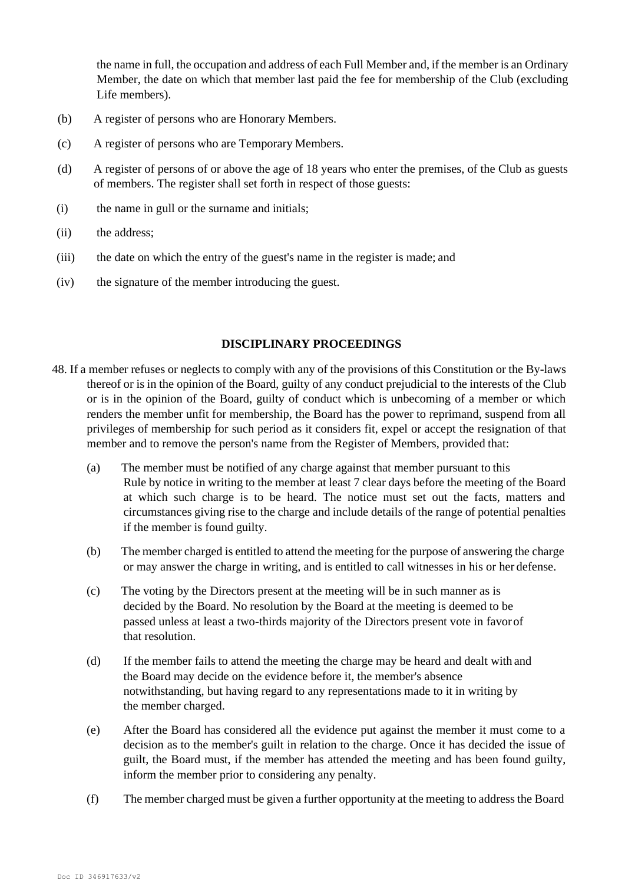the name in full, the occupation and address of each Full Member and, if the member is an Ordinary Member, the date on which that member last paid the fee for membership of the Club (excluding Life members).

- (b) A register of persons who are Honorary Members.
- (c) A register of persons who are Temporary Members.
- (d) A register of persons of or above the age of 18 years who enter the premises, of the Club as guests of members. The register shall set forth in respect of those guests:
- (i) the name in gull or the surname and initials;
- (ii) the address;
- (iii) the date on which the entry of the guest's name in the register is made; and
- (iv) the signature of the member introducing the guest.

### **DISCIPLINARY PROCEEDINGS**

- 48. If a member refuses or neglects to comply with any of the provisions of this Constitution or the By-laws thereof or is in the opinion of the Board, guilty of any conduct prejudicial to the interests of the Club or is in the opinion of the Board, guilty of conduct which is unbecoming of a member or which renders the member unfit for membership, the Board has the power to reprimand, suspend from all privileges of membership for such period as it considers fit, expel or accept the resignation of that member and to remove the person's name from the Register of Members, provided that:
	- (a) The member must be notified of any charge against that member pursuant to this Rule by notice in writing to the member at least 7 clear days before the meeting of the Board at which such charge is to be heard. The notice must set out the facts, matters and circumstances giving rise to the charge and include details of the range of potential penalties if the member is found guilty.
	- (b) The member charged is entitled to attend the meeting for the purpose of answering the charge or may answer the charge in writing, and is entitled to call witnesses in his or her defense.
	- (c) The voting by the Directors present at the meeting will be in such manner as is decided by the Board. No resolution by the Board at the meeting is deemed to be passed unless at least a two-thirds majority of the Directors present vote in favorof that resolution.
	- (d) If the member fails to attend the meeting the charge may be heard and dealt with and the Board may decide on the evidence before it, the member's absence notwithstanding, but having regard to any representations made to it in writing by the member charged.
	- (e) After the Board has considered all the evidence put against the member it must come to a decision as to the member's guilt in relation to the charge. Once it has decided the issue of guilt, the Board must, if the member has attended the meeting and has been found guilty, inform the member prior to considering any penalty.
	- (f) The member charged must be given a further opportunity at the meeting to address the Board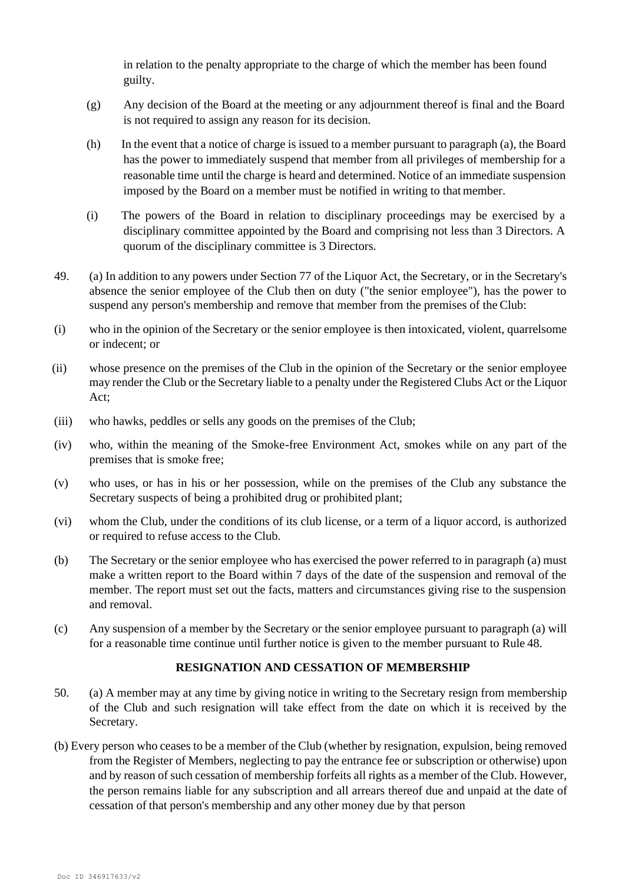in relation to the penalty appropriate to the charge of which the member has been found guilty.

- (g) Any decision of the Board at the meeting or any adjournment thereof is final and the Board is not required to assign any reason for its decision.
- (h) In the event that a notice of charge is issued to a member pursuant to paragraph (a), the Board has the power to immediately suspend that member from all privileges of membership for a reasonable time until the charge is heard and determined. Notice of an immediate suspension imposed by the Board on a member must be notified in writing to that member.
- (i) The powers of the Board in relation to disciplinary proceedings may be exercised by a disciplinary committee appointed by the Board and comprising not less than 3 Directors. A quorum of the disciplinary committee is 3 Directors.
- 49. (a) In addition to any powers under Section 77 of the Liquor Act, the Secretary, or in the Secretary's absence the senior employee of the Club then on duty ("the senior employee"), has the power to suspend any person's membership and remove that member from the premises of the Club:
- (i) who in the opinion of the Secretary or the senior employee is then intoxicated, violent, quarrelsome or indecent; or
- (ii) whose presence on the premises of the Club in the opinion of the Secretary or the senior employee may render the Club or the Secretary liable to a penalty under the Registered Clubs Act or the Liquor Act;
- (iii) who hawks, peddles or sells any goods on the premises of the Club;
- (iv) who, within the meaning of the Smoke-free Environment Act, smokes while on any part of the premises that is smoke free;
- (v) who uses, or has in his or her possession, while on the premises of the Club any substance the Secretary suspects of being a prohibited drug or prohibited plant;
- (vi) whom the Club, under the conditions of its club license, or a term of a liquor accord, is authorized or required to refuse access to the Club.
- (b) The Secretary or the senior employee who has exercised the power referred to in paragraph (a) must make a written report to the Board within 7 days of the date of the suspension and removal of the member. The report must set out the facts, matters and circumstances giving rise to the suspension and removal.
- (c) Any suspension of a member by the Secretary or the senior employee pursuant to paragraph (a) will for a reasonable time continue until further notice is given to the member pursuant to Rule 48.

# **RESIGNATION AND CESSATION OF MEMBERSHIP**

- 50. (a) A member may at any time by giving notice in writing to the Secretary resign from membership of the Club and such resignation will take effect from the date on which it is received by the Secretary.
- (b) Every person who ceases to be a member of the Club (whether by resignation, expulsion, being removed from the Register of Members, neglecting to pay the entrance fee or subscription or otherwise) upon and by reason of such cessation of membership forfeits all rights as a member of the Club. However, the person remains liable for any subscription and all arrears thereof due and unpaid at the date of cessation of that person's membership and any other money due by that person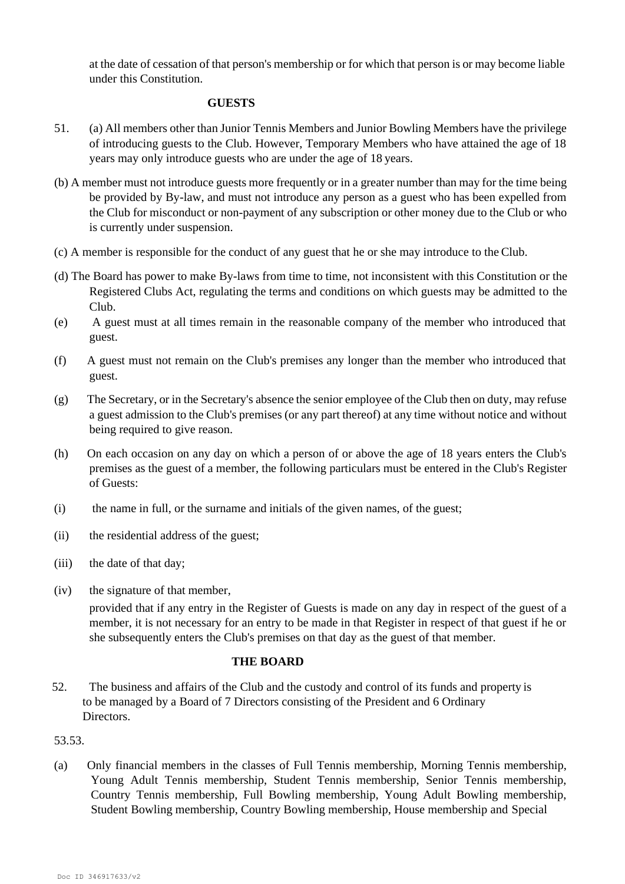at the date of cessation of that person's membership or for which that person is or may become liable under this Constitution.

### **GUESTS**

- 51. (a) All members other than Junior Tennis Members and Junior Bowling Members have the privilege of introducing guests to the Club. However, Temporary Members who have attained the age of 18 years may only introduce guests who are under the age of 18 years.
- (b) A member must not introduce guests more frequently or in a greater number than may for the time being be provided by By-law, and must not introduce any person as a guest who has been expelled from the Club for misconduct or non-payment of any subscription or other money due to the Club or who is currently under suspension.
- (c) A member is responsible for the conduct of any guest that he or she may introduce to the Club.
- (d) The Board has power to make By-laws from time to time, not inconsistent with this Constitution or the Registered Clubs Act, regulating the terms and conditions on which guests may be admitted to the Club.
- (e) A guest must at all times remain in the reasonable company of the member who introduced that guest.
- (f) A guest must not remain on the Club's premises any longer than the member who introduced that guest.
- (g) The Secretary, or in the Secretary's absence the senior employee of the Club then on duty, may refuse a guest admission to the Club's premises (or any part thereof) at any time without notice and without being required to give reason.
- (h) On each occasion on any day on which a person of or above the age of 18 years enters the Club's premises as the guest of a member, the following particulars must be entered in the Club's Register of Guests:
- (i) the name in full, or the surname and initials of the given names, of the guest;
- (ii) the residential address of the guest;
- (iii) the date of that day;
- (iv) the signature of that member,

provided that if any entry in the Register of Guests is made on any day in respect of the guest of a member, it is not necessary for an entry to be made in that Register in respect of that guest if he or she subsequently enters the Club's premises on that day as the guest of that member.

# **THE BOARD**

52. The business and affairs of the Club and the custody and control of its funds and property is to be managed by a Board of 7 Directors consisting of the President and 6 Ordinary Directors.

# 53.53.

(a) Only financial members in the classes of Full Tennis membership, Morning Tennis membership, Young Adult Tennis membership, Student Tennis membership, Senior Tennis membership, Country Tennis membership, Full Bowling membership, Young Adult Bowling membership, Student Bowling membership, Country Bowling membership, House membership and Special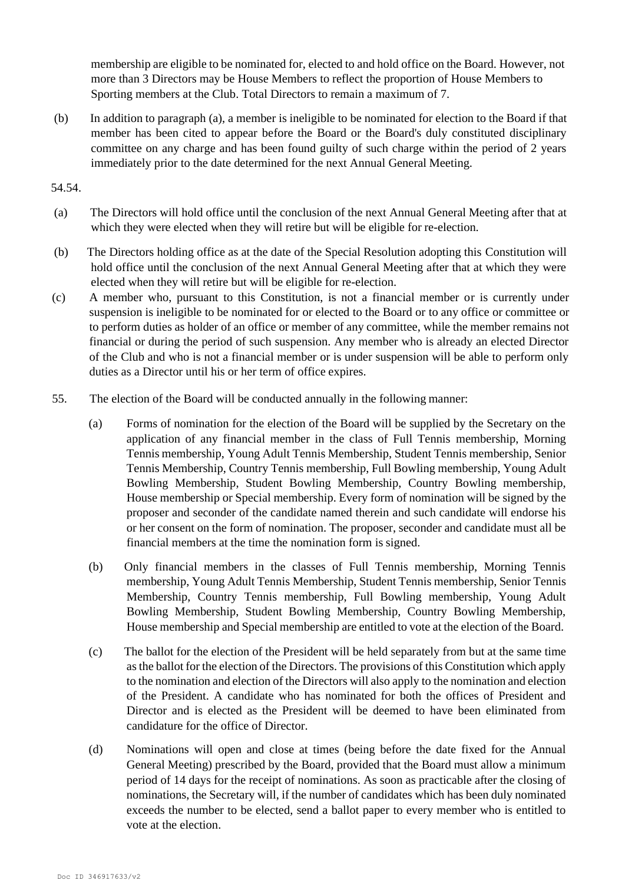membership are eligible to be nominated for, elected to and hold office on the Board. However, not more than 3 Directors may be House Members to reflect the proportion of House Members to Sporting members at the Club. Total Directors to remain a maximum of 7.

(b) In addition to paragraph (a), a member is ineligible to be nominated for election to the Board if that member has been cited to appear before the Board or the Board's duly constituted disciplinary committee on any charge and has been found guilty of such charge within the period of 2 years immediately prior to the date determined for the next Annual General Meeting.

### 54.54.

- (a) The Directors will hold office until the conclusion of the next Annual General Meeting after that at which they were elected when they will retire but will be eligible for re-election.
- (b) The Directors holding office as at the date of the Special Resolution adopting this Constitution will hold office until the conclusion of the next Annual General Meeting after that at which they were elected when they will retire but will be eligible for re-election.
- (c) A member who, pursuant to this Constitution, is not a financial member or is currently under suspension is ineligible to be nominated for or elected to the Board or to any office or committee or to perform duties as holder of an office or member of any committee, while the member remains not financial or during the period of such suspension. Any member who is already an elected Director of the Club and who is not a financial member or is under suspension will be able to perform only duties as a Director until his or her term of office expires.
- 55. The election of the Board will be conducted annually in the following manner:
	- (a) Forms of nomination for the election of the Board will be supplied by the Secretary on the application of any financial member in the class of Full Tennis membership, Morning Tennis membership, Young Adult Tennis Membership, Student Tennis membership, Senior Tennis Membership, Country Tennis membership, Full Bowling membership, Young Adult Bowling Membership, Student Bowling Membership, Country Bowling membership, House membership or Special membership. Every form of nomination will be signed by the proposer and seconder of the candidate named therein and such candidate will endorse his or her consent on the form of nomination. The proposer, seconder and candidate must all be financial members at the time the nomination form is signed.
	- (b) Only financial members in the classes of Full Tennis membership, Morning Tennis membership, Young Adult Tennis Membership, Student Tennis membership, Senior Tennis Membership, Country Tennis membership, Full Bowling membership, Young Adult Bowling Membership, Student Bowling Membership, Country Bowling Membership, House membership and Special membership are entitled to vote at the election of the Board.
	- (c) The ballot for the election of the President will be held separately from but at the same time as the ballot for the election of the Directors. The provisions of this Constitution which apply to the nomination and election of the Directors will also apply to the nomination and election of the President. A candidate who has nominated for both the offices of President and Director and is elected as the President will be deemed to have been eliminated from candidature for the office of Director.
	- (d) Nominations will open and close at times (being before the date fixed for the Annual General Meeting) prescribed by the Board, provided that the Board must allow a minimum period of 14 days for the receipt of nominations. As soon as practicable after the closing of nominations, the Secretary will, if the number of candidates which has been duly nominated exceeds the number to be elected, send a ballot paper to every member who is entitled to vote at the election.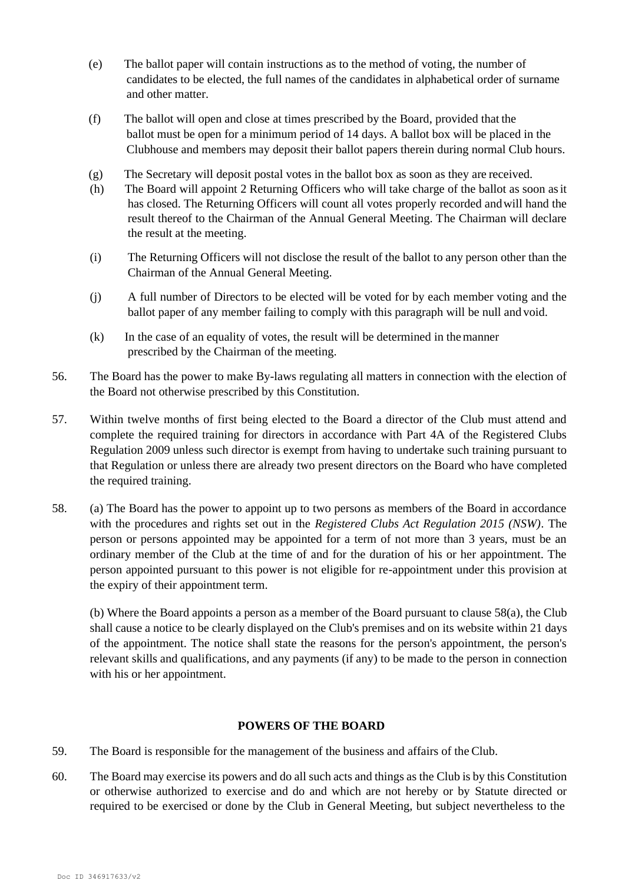- (e) The ballot paper will contain instructions as to the method of voting, the number of candidates to be elected, the full names of the candidates in alphabetical order of surname and other matter.
- (f) The ballot will open and close at times prescribed by the Board, provided that the ballot must be open for a minimum period of 14 days. A ballot box will be placed in the Clubhouse and members may deposit their ballot papers therein during normal Club hours.
- (g) The Secretary will deposit postal votes in the ballot box as soon as they are received.
- (h) The Board will appoint 2 Returning Officers who will take charge of the ballot as soon asit has closed. The Returning Officers will count all votes properly recorded andwill hand the result thereof to the Chairman of the Annual General Meeting. The Chairman will declare the result at the meeting.
- (i) The Returning Officers will not disclose the result of the ballot to any person other than the Chairman of the Annual General Meeting.
- (j) A full number of Directors to be elected will be voted for by each member voting and the ballot paper of any member failing to comply with this paragraph will be null and void.
- (k) In the case of an equality of votes, the result will be determined in themanner prescribed by the Chairman of the meeting.
- 56. The Board has the power to make By-laws regulating all matters in connection with the election of the Board not otherwise prescribed by this Constitution.
- 57. Within twelve months of first being elected to the Board a director of the Club must attend and complete the required training for directors in accordance with Part 4A of the Registered Clubs Regulation 2009 unless such director is exempt from having to undertake such training pursuant to that Regulation or unless there are already two present directors on the Board who have completed the required training.
- 58. (a) The Board has the power to appoint up to two persons as members of the Board in accordance with the procedures and rights set out in the *Registered Clubs Act Regulation 2015 (NSW)*. The person or persons appointed may be appointed for a term of not more than 3 years, must be an ordinary member of the Club at the time of and for the duration of his or her appointment. The person appointed pursuant to this power is not eligible for re-appointment under this provision at the expiry of their appointment term.

(b) Where the Board appoints a person as a member of the Board pursuant to clause 58(a), the Club shall cause a notice to be clearly displayed on the Club's premises and on its website within 21 days of the appointment. The notice shall state the reasons for the person's appointment, the person's relevant skills and qualifications, and any payments (if any) to be made to the person in connection with his or her appointment.

# **POWERS OF THE BOARD**

- 59. The Board is responsible for the management of the business and affairs of the Club.
- 60. The Board may exercise its powers and do all such acts and things as the Club is by this Constitution or otherwise authorized to exercise and do and which are not hereby or by Statute directed or required to be exercised or done by the Club in General Meeting, but subject nevertheless to the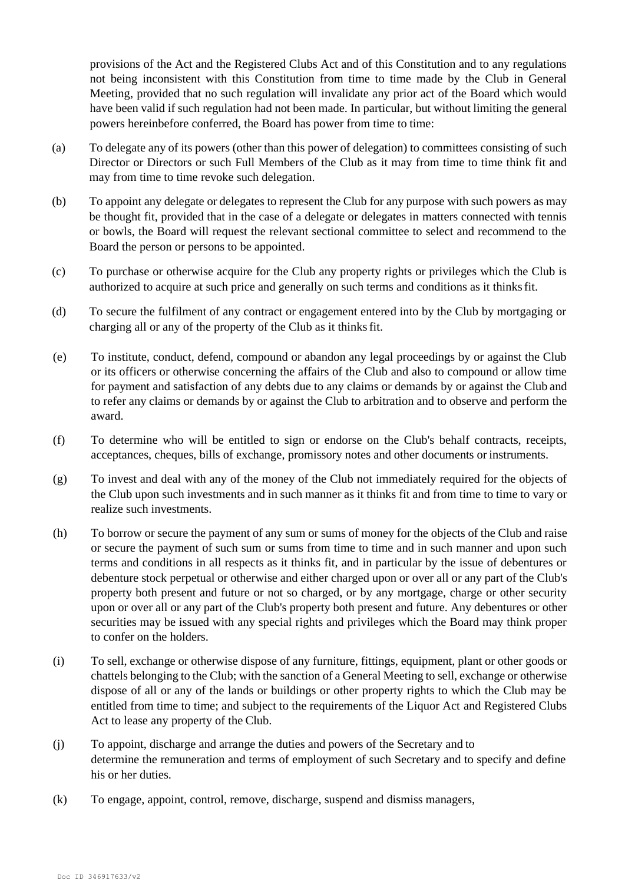provisions of the Act and the Registered Clubs Act and of this Constitution and to any regulations not being inconsistent with this Constitution from time to time made by the Club in General Meeting, provided that no such regulation will invalidate any prior act of the Board which would have been valid if such regulation had not been made. In particular, but without limiting the general powers hereinbefore conferred, the Board has power from time to time:

- (a) To delegate any of its powers (other than this power of delegation) to committees consisting of such Director or Directors or such Full Members of the Club as it may from time to time think fit and may from time to time revoke such delegation.
- (b) To appoint any delegate or delegates to represent the Club for any purpose with such powers as may be thought fit, provided that in the case of a delegate or delegates in matters connected with tennis or bowls, the Board will request the relevant sectional committee to select and recommend to the Board the person or persons to be appointed.
- (c) To purchase or otherwise acquire for the Club any property rights or privileges which the Club is authorized to acquire at such price and generally on such terms and conditions as it thinks fit.
- (d) To secure the fulfilment of any contract or engagement entered into by the Club by mortgaging or charging all or any of the property of the Club as it thinks fit.
- (e) To institute, conduct, defend, compound or abandon any legal proceedings by or against the Club or its officers or otherwise concerning the affairs of the Club and also to compound or allow time for payment and satisfaction of any debts due to any claims or demands by or against the Club and to refer any claims or demands by or against the Club to arbitration and to observe and perform the award.
- (f) To determine who will be entitled to sign or endorse on the Club's behalf contracts, receipts, acceptances, cheques, bills of exchange, promissory notes and other documents or instruments.
- (g) To invest and deal with any of the money of the Club not immediately required for the objects of the Club upon such investments and in such manner as it thinks fit and from time to time to vary or realize such investments.
- (h) To borrow or secure the payment of any sum or sums of money for the objects of the Club and raise or secure the payment of such sum or sums from time to time and in such manner and upon such terms and conditions in all respects as it thinks fit, and in particular by the issue of debentures or debenture stock perpetual or otherwise and either charged upon or over all or any part of the Club's property both present and future or not so charged, or by any mortgage, charge or other security upon or over all or any part of the Club's property both present and future. Any debentures or other securities may be issued with any special rights and privileges which the Board may think proper to confer on the holders.
- (i) To sell, exchange or otherwise dispose of any furniture, fittings, equipment, plant or other goods or chattels belonging to the Club; with the sanction of a General Meeting to sell, exchange or otherwise dispose of all or any of the lands or buildings or other property rights to which the Club may be entitled from time to time; and subject to the requirements of the Liquor Act and Registered Clubs Act to lease any property of the Club.
- (j) To appoint, discharge and arrange the duties and powers of the Secretary and to determine the remuneration and terms of employment of such Secretary and to specify and define his or her duties.
- (k) To engage, appoint, control, remove, discharge, suspend and dismiss managers,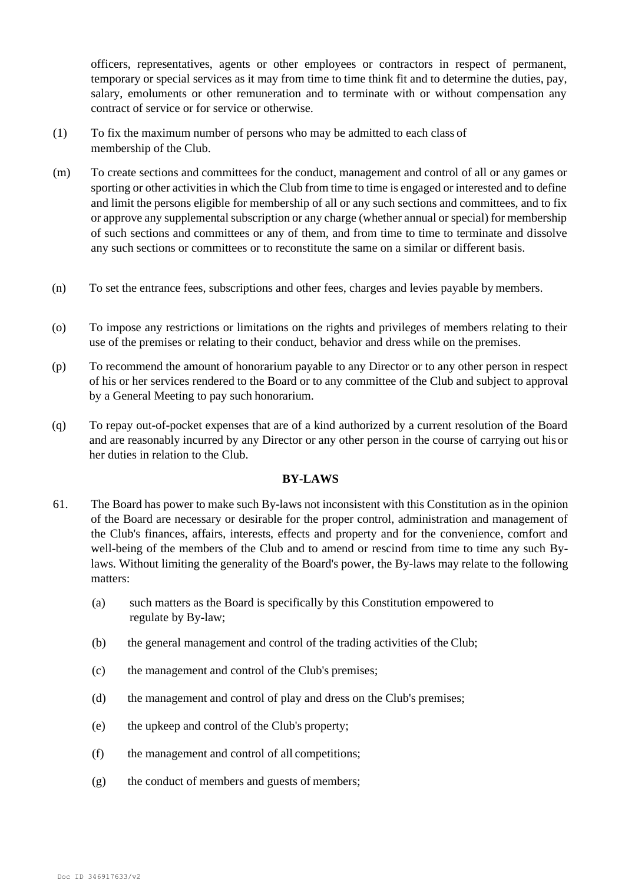officers, representatives, agents or other employees or contractors in respect of permanent, temporary or special services as it may from time to time think fit and to determine the duties, pay, salary, emoluments or other remuneration and to terminate with or without compensation any contract of service or for service or otherwise.

- (1) To fix the maximum number of persons who may be admitted to each class of membership of the Club.
- (m) To create sections and committees for the conduct, management and control of all or any games or sporting or other activities in which the Club from time to time is engaged or interested and to define and limit the persons eligible for membership of all or any such sections and committees, and to fix or approve any supplemental subscription or any charge (whether annual or special) for membership of such sections and committees or any of them, and from time to time to terminate and dissolve any such sections or committees or to reconstitute the same on a similar or different basis.
- (n) To set the entrance fees, subscriptions and other fees, charges and levies payable by members.
- (o) To impose any restrictions or limitations on the rights and privileges of members relating to their use of the premises or relating to their conduct, behavior and dress while on the premises.
- (p) To recommend the amount of honorarium payable to any Director or to any other person in respect of his or her services rendered to the Board or to any committee of the Club and subject to approval by a General Meeting to pay such honorarium.
- (q) To repay out-of-pocket expenses that are of a kind authorized by a current resolution of the Board and are reasonably incurred by any Director or any other person in the course of carrying out his or her duties in relation to the Club.

# **BY-LAWS**

- 61. The Board has power to make such By-laws not inconsistent with this Constitution as in the opinion of the Board are necessary or desirable for the proper control, administration and management of the Club's finances, affairs, interests, effects and property and for the convenience, comfort and well-being of the members of the Club and to amend or rescind from time to time any such Bylaws. Without limiting the generality of the Board's power, the By-laws may relate to the following matters:
	- (a) such matters as the Board is specifically by this Constitution empowered to regulate by By-law;
	- (b) the general management and control of the trading activities of the Club;
	- (c) the management and control of the Club's premises;
	- (d) the management and control of play and dress on the Club's premises;
	- (e) the upkeep and control of the Club's property;
	- (f) the management and control of all competitions;
	- (g) the conduct of members and guests of members;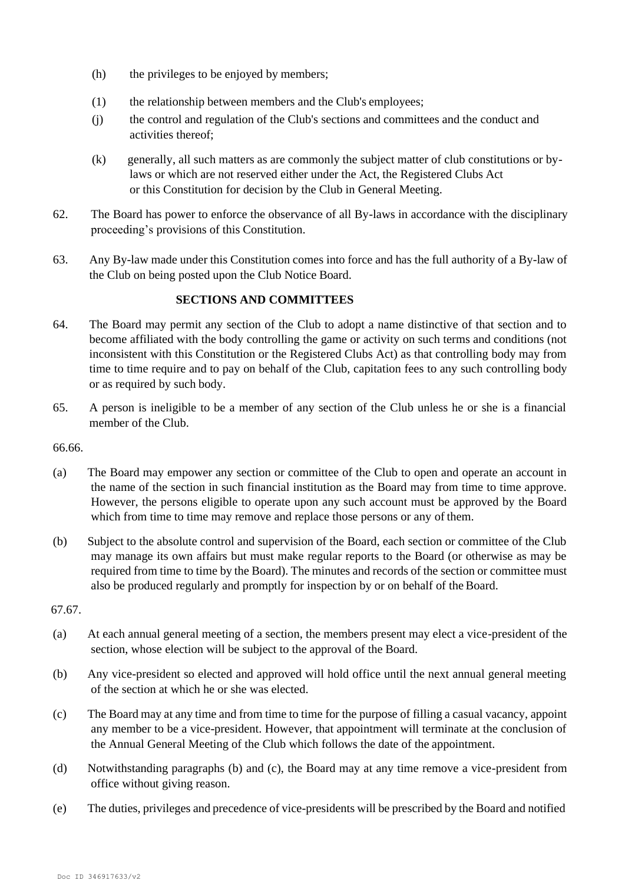- (h) the privileges to be enjoyed by members;
- (1) the relationship between members and the Club's employees;
- (j) the control and regulation of the Club's sections and committees and the conduct and activities thereof;
- (k) generally, all such matters as are commonly the subject matter of club constitutions or bylaws or which are not reserved either under the Act, the Registered Clubs Act or this Constitution for decision by the Club in General Meeting.
- 62. The Board has power to enforce the observance of all By-laws in accordance with the disciplinary proceeding's provisions of this Constitution.
- 63. Any By-law made under this Constitution comes into force and has the full authority of a By-law of the Club on being posted upon the Club Notice Board.

# **SECTIONS AND COMMITTEES**

- 64. The Board may permit any section of the Club to adopt a name distinctive of that section and to become affiliated with the body controlling the game or activity on such terms and conditions (not inconsistent with this Constitution or the Registered Clubs Act) as that controlling body may from time to time require and to pay on behalf of the Club, capitation fees to any such controlling body or as required by such body.
- 65. A person is ineligible to be a member of any section of the Club unless he or she is a financial member of the Club.

66.66.

- (a) The Board may empower any section or committee of the Club to open and operate an account in the name of the section in such financial institution as the Board may from time to time approve. However, the persons eligible to operate upon any such account must be approved by the Board which from time to time may remove and replace those persons or any of them.
- (b) Subject to the absolute control and supervision of the Board, each section or committee of the Club may manage its own affairs but must make regular reports to the Board (or otherwise as may be required from time to time by the Board). The minutes and records of the section or committee must also be produced regularly and promptly for inspection by or on behalf of theBoard.

67.67.

- (a) At each annual general meeting of a section, the members present may elect a vice-president of the section, whose election will be subject to the approval of the Board.
- (b) Any vice-president so elected and approved will hold office until the next annual general meeting of the section at which he or she was elected.
- (c) The Board may at any time and from time to time for the purpose of filling a casual vacancy, appoint any member to be a vice-president. However, that appointment will terminate at the conclusion of the Annual General Meeting of the Club which follows the date of the appointment.
- (d) Notwithstanding paragraphs (b) and (c), the Board may at any time remove a vice-president from office without giving reason.
- (e) The duties, privileges and precedence of vice-presidents will be prescribed by the Board and notified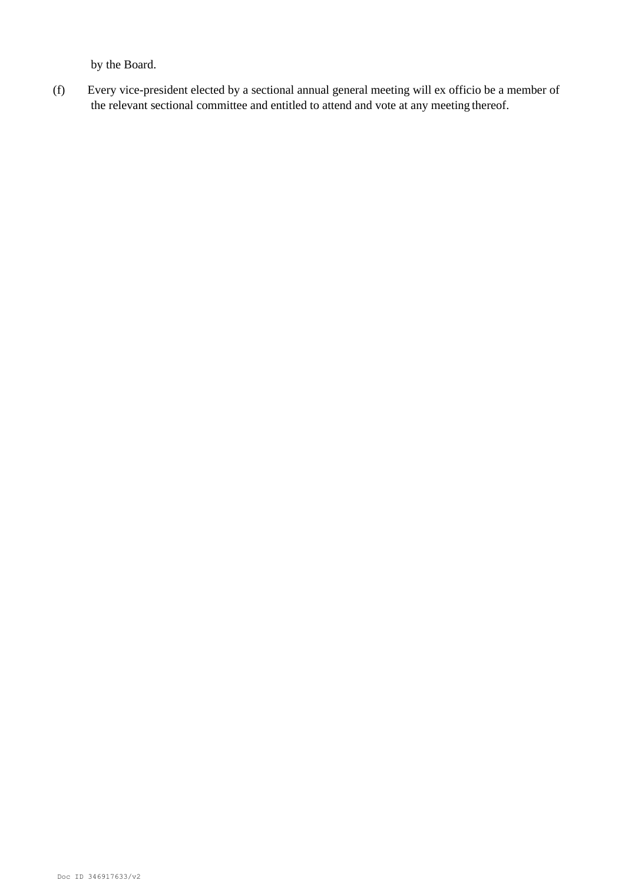by the Board.

(f) Every vice-president elected by a sectional annual general meeting will ex officio be a member of the relevant sectional committee and entitled to attend and vote at any meeting thereof.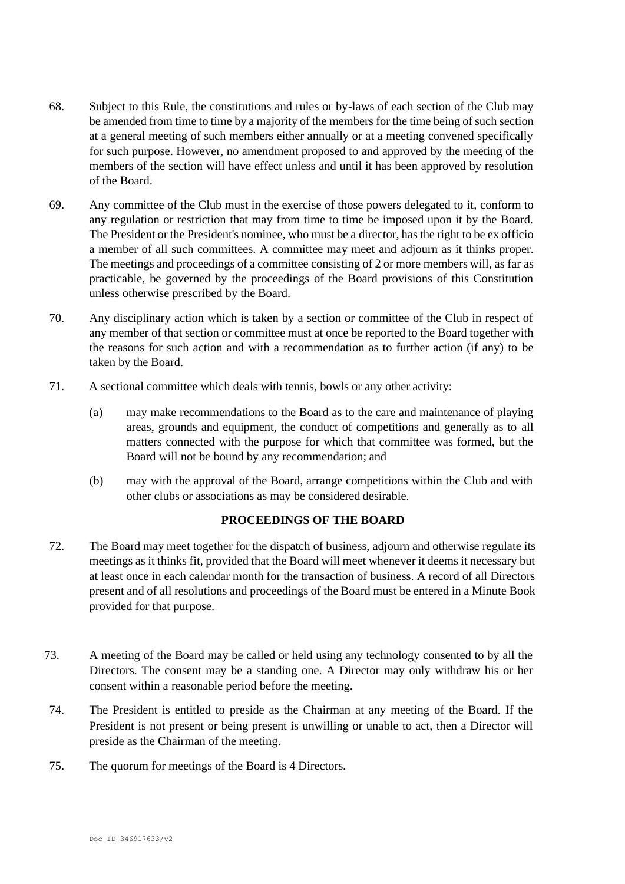- 68. Subject to this Rule, the constitutions and rules or by-laws of each section of the Club may be amended from time to time by a majority of the members for the time being of such section at a general meeting of such members either annually or at a meeting convened specifically for such purpose. However, no amendment proposed to and approved by the meeting of the members of the section will have effect unless and until it has been approved by resolution of the Board.
- 69. Any committee of the Club must in the exercise of those powers delegated to it, conform to any regulation or restriction that may from time to time be imposed upon it by the Board. The President or the President's nominee, who must be a director, has the right to be ex officio a member of all such committees. A committee may meet and adjourn as it thinks proper. The meetings and proceedings of a committee consisting of 2 or more members will, as far as practicable, be governed by the proceedings of the Board provisions of this Constitution unless otherwise prescribed by the Board.
- 70. Any disciplinary action which is taken by a section or committee of the Club in respect of any member of that section or committee must at once be reported to the Board together with the reasons for such action and with a recommendation as to further action (if any) to be taken by the Board.
- 71. A sectional committee which deals with tennis, bowls or any other activity:
	- (a) may make recommendations to the Board as to the care and maintenance of playing areas, grounds and equipment, the conduct of competitions and generally as to all matters connected with the purpose for which that committee was formed, but the Board will not be bound by any recommendation; and
	- (b) may with the approval of the Board, arrange competitions within the Club and with other clubs or associations as may be considered desirable.

# **PROCEEDINGS OF THE BOARD**

- 72. The Board may meet together for the dispatch of business, adjourn and otherwise regulate its meetings as it thinks fit, provided that the Board will meet whenever it deems it necessary but at least once in each calendar month for the transaction of business. A record of all Directors present and of all resolutions and proceedings of the Board must be entered in a Minute Book provided for that purpose.
- 73. A meeting of the Board may be called or held using any technology consented to by all the Directors. The consent may be a standing one. A Director may only withdraw his or her consent within a reasonable period before the meeting.
- 74. The President is entitled to preside as the Chairman at any meeting of the Board. If the President is not present or being present is unwilling or unable to act, then a Director will preside as the Chairman of the meeting.
- 75. The quorum for meetings of the Board is 4 Directors.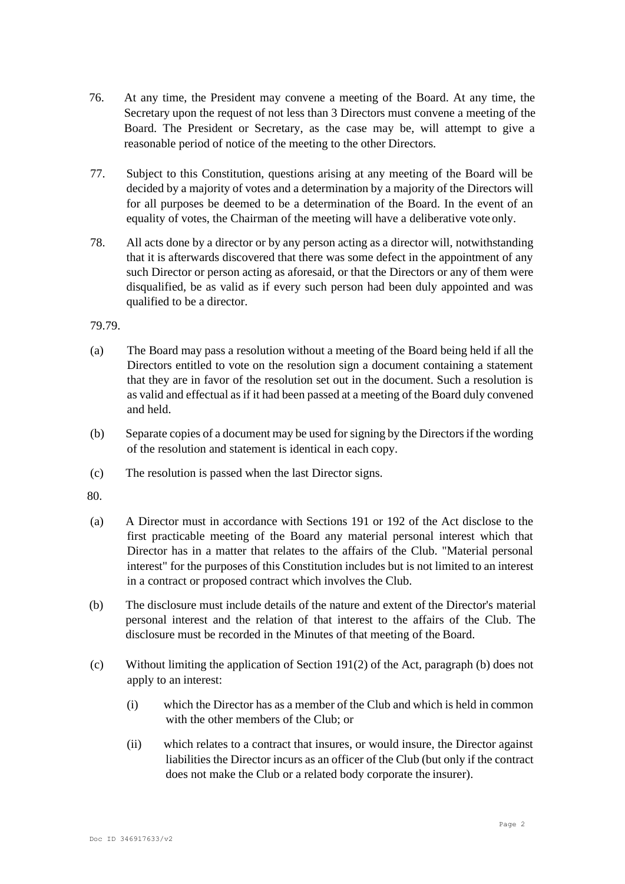- 76. At any time, the President may convene a meeting of the Board. At any time, the Secretary upon the request of not less than 3 Directors must convene a meeting of the Board. The President or Secretary, as the case may be, will attempt to give a reasonable period of notice of the meeting to the other Directors.
- 77. Subject to this Constitution, questions arising at any meeting of the Board will be decided by a majority of votes and a determination by a majority of the Directors will for all purposes be deemed to be a determination of the Board. In the event of an equality of votes, the Chairman of the meeting will have a deliberative vote only.
- 78. All acts done by a director or by any person acting as a director will, notwithstanding that it is afterwards discovered that there was some defect in the appointment of any such Director or person acting as aforesaid, or that the Directors or any of them were disqualified, be as valid as if every such person had been duly appointed and was qualified to be a director.

### 79.79.

- (a) The Board may pass a resolution without a meeting of the Board being held if all the Directors entitled to vote on the resolution sign a document containing a statement that they are in favor of the resolution set out in the document. Such a resolution is as valid and effectual asif it had been passed at a meeting of the Board duly convened and held.
- (b) Separate copies of a document may be used for signing by the Directorsif the wording of the resolution and statement is identical in each copy.
- (c) The resolution is passed when the last Director signs.

80.

- (a) A Director must in accordance with Sections 191 or 192 of the Act disclose to the first practicable meeting of the Board any material personal interest which that Director has in a matter that relates to the affairs of the Club. "Material personal interest" for the purposes of this Constitution includes but is not limited to an interest in a contract or proposed contract which involves the Club.
- (b) The disclosure must include details of the nature and extent of the Director's material personal interest and the relation of that interest to the affairs of the Club. The disclosure must be recorded in the Minutes of that meeting of the Board.
- (c) Without limiting the application of Section 191(2) of the Act, paragraph (b) does not apply to an interest:
	- (i) which the Director has as a member of the Club and which is held in common with the other members of the Club; or
	- (ii) which relates to a contract that insures, or would insure, the Director against liabilities the Director incurs as an officer of the Club (but only if the contract does not make the Club or a related body corporate the insurer).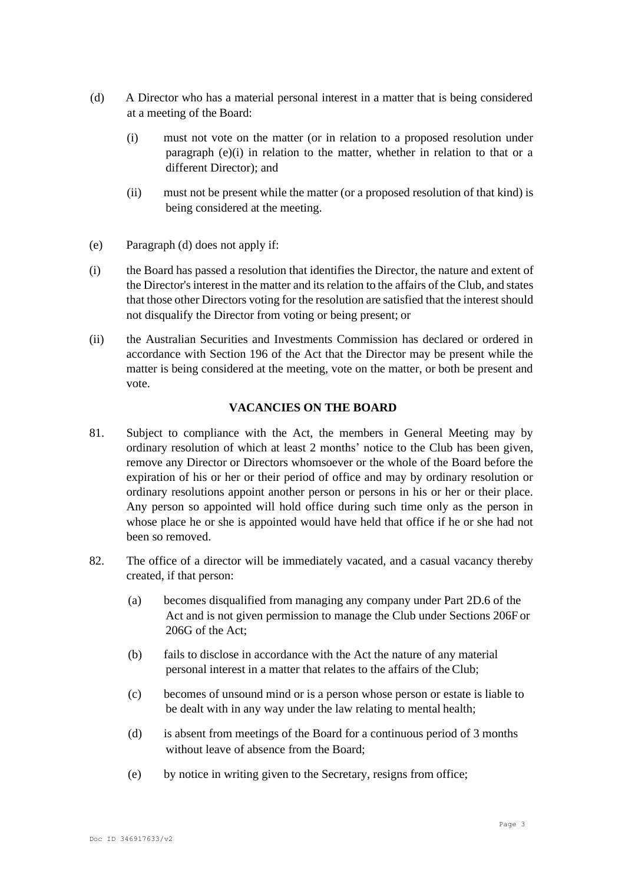- (d) A Director who has a material personal interest in a matter that is being considered at a meeting of the Board:
	- (i) must not vote on the matter (or in relation to a proposed resolution under paragraph (e)(i) in relation to the matter, whether in relation to that or a different Director); and
	- (ii) must not be present while the matter (or a proposed resolution of that kind) is being considered at the meeting.
- (e) Paragraph (d) does not apply if:
- (i) the Board has passed a resolution that identifies the Director, the nature and extent of the Director's interest in the matter and its relation to the affairs of the Club, and states that those other Directors voting for the resolution are satisfied that the interestshould not disqualify the Director from voting or being present; or
- (ii) the Australian Securities and Investments Commission has declared or ordered in accordance with Section 196 of the Act that the Director may be present while the matter is being considered at the meeting, vote on the matter, or both be present and vote.

# **VACANCIES ON THE BOARD**

- 81. Subject to compliance with the Act, the members in General Meeting may by ordinary resolution of which at least 2 months' notice to the Club has been given, remove any Director or Directors whomsoever or the whole of the Board before the expiration of his or her or their period of office and may by ordinary resolution or ordinary resolutions appoint another person or persons in his or her or their place. Any person so appointed will hold office during such time only as the person in whose place he or she is appointed would have held that office if he or she had not been so removed.
- 82. The office of a director will be immediately vacated, and a casual vacancy thereby created, if that person:
	- (a) becomes disqualified from managing any company under Part 2D.6 of the Act and is not given permission to manage the Club under Sections 206F or 206G of the Act;
	- (b) fails to disclose in accordance with the Act the nature of any material personal interest in a matter that relates to the affairs of the Club;
	- (c) becomes of unsound mind or is a person whose person or estate is liable to be dealt with in any way under the law relating to mental health;
	- (d) is absent from meetings of the Board for a continuous period of 3 months without leave of absence from the Board;
	- (e) by notice in writing given to the Secretary, resigns from office;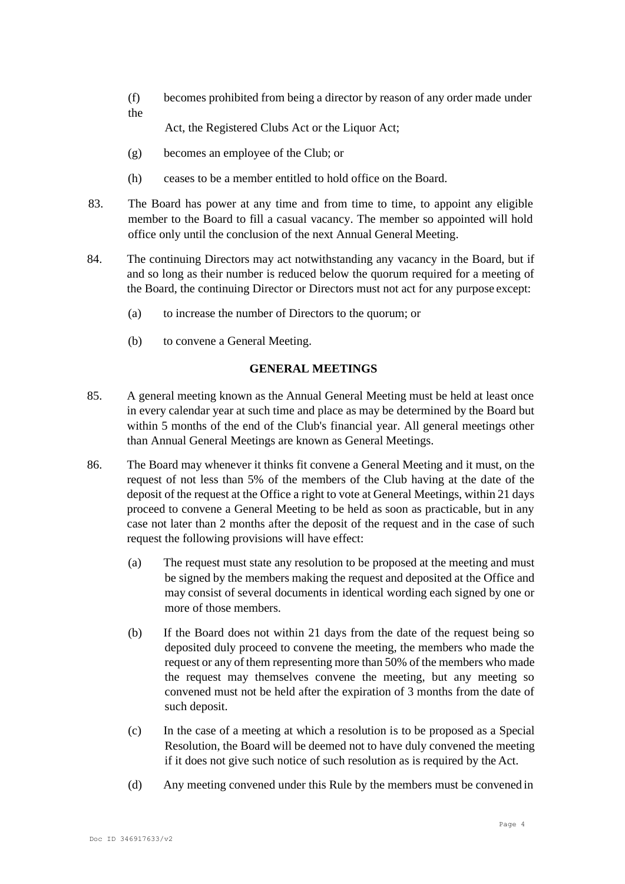(f) becomes prohibited from being a director by reason of any order made under the

Act, the Registered Clubs Act or the Liquor Act;

- (g) becomes an employee of the Club; or
- (h) ceases to be a member entitled to hold office on the Board.
- 83. The Board has power at any time and from time to time, to appoint any eligible member to the Board to fill a casual vacancy. The member so appointed will hold office only until the conclusion of the next Annual General Meeting.
- 84. The continuing Directors may act notwithstanding any vacancy in the Board, but if and so long as their number is reduced below the quorum required for a meeting of the Board, the continuing Director or Directors must not act for any purpose except:
	- (a) to increase the number of Directors to the quorum; or
	- (b) to convene a General Meeting.

# **GENERAL MEETINGS**

- 85. A general meeting known as the Annual General Meeting must be held at least once in every calendar year at such time and place as may be determined by the Board but within 5 months of the end of the Club's financial year. All general meetings other than Annual General Meetings are known as General Meetings.
- 86. The Board may whenever it thinks fit convene a General Meeting and it must, on the request of not less than 5% of the members of the Club having at the date of the deposit of the request at the Office a right to vote at General Meetings, within 21 days proceed to convene a General Meeting to be held as soon as practicable, but in any case not later than 2 months after the deposit of the request and in the case of such request the following provisions will have effect:
	- (a) The request must state any resolution to be proposed at the meeting and must be signed by the members making the request and deposited at the Office and may consist of several documents in identical wording each signed by one or more of those members.
	- (b) If the Board does not within 21 days from the date of the request being so deposited duly proceed to convene the meeting, the members who made the request or any of them representing more than 50% of the members who made the request may themselves convene the meeting, but any meeting so convened must not be held after the expiration of 3 months from the date of such deposit.
	- (c) In the case of a meeting at which a resolution is to be proposed as a Special Resolution, the Board will be deemed not to have duly convened the meeting if it does not give such notice of such resolution as is required by the Act.
	- (d) Any meeting convened under this Rule by the members must be convened in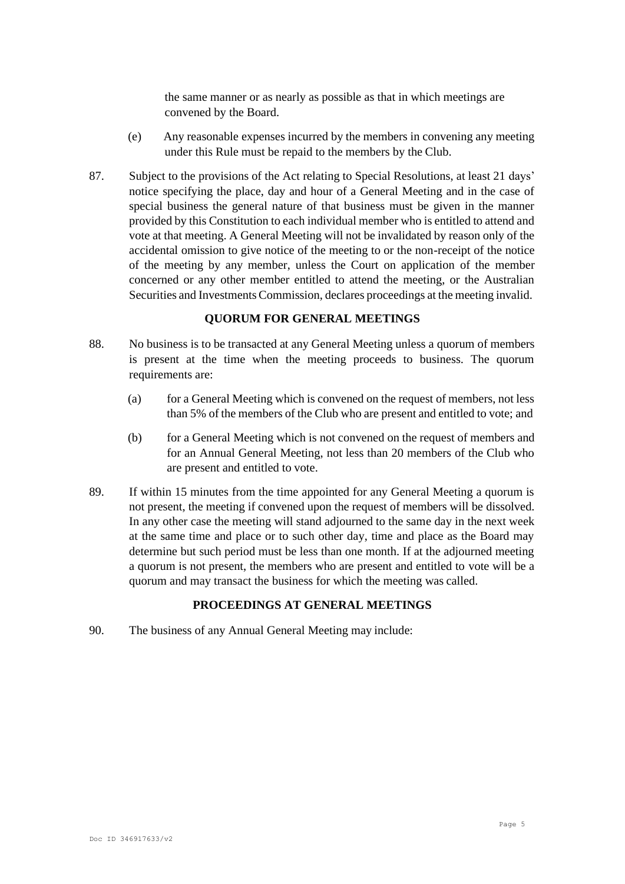the same manner or as nearly as possible as that in which meetings are convened by the Board.

- (e) Any reasonable expenses incurred by the members in convening any meeting under this Rule must be repaid to the members by the Club.
- 87. Subject to the provisions of the Act relating to Special Resolutions, at least 21 days' notice specifying the place, day and hour of a General Meeting and in the case of special business the general nature of that business must be given in the manner provided by this Constitution to each individual member who is entitled to attend and vote at that meeting. A General Meeting will not be invalidated by reason only of the accidental omission to give notice of the meeting to or the non-receipt of the notice of the meeting by any member, unless the Court on application of the member concerned or any other member entitled to attend the meeting, or the Australian Securities and Investments Commission, declares proceedings at the meeting invalid.

### **QUORUM FOR GENERAL MEETINGS**

- 88. No business is to be transacted at any General Meeting unless a quorum of members is present at the time when the meeting proceeds to business. The quorum requirements are:
	- (a) for a General Meeting which is convened on the request of members, not less than 5% of the members of the Club who are present and entitled to vote; and
	- (b) for a General Meeting which is not convened on the request of members and for an Annual General Meeting, not less than 20 members of the Club who are present and entitled to vote.
- 89. If within 15 minutes from the time appointed for any General Meeting a quorum is not present, the meeting if convened upon the request of members will be dissolved. In any other case the meeting will stand adjourned to the same day in the next week at the same time and place or to such other day, time and place as the Board may determine but such period must be less than one month. If at the adjourned meeting a quorum is not present, the members who are present and entitled to vote will be a quorum and may transact the business for which the meeting was called.

# **PROCEEDINGS AT GENERAL MEETINGS**

90. The business of any Annual General Meeting may include: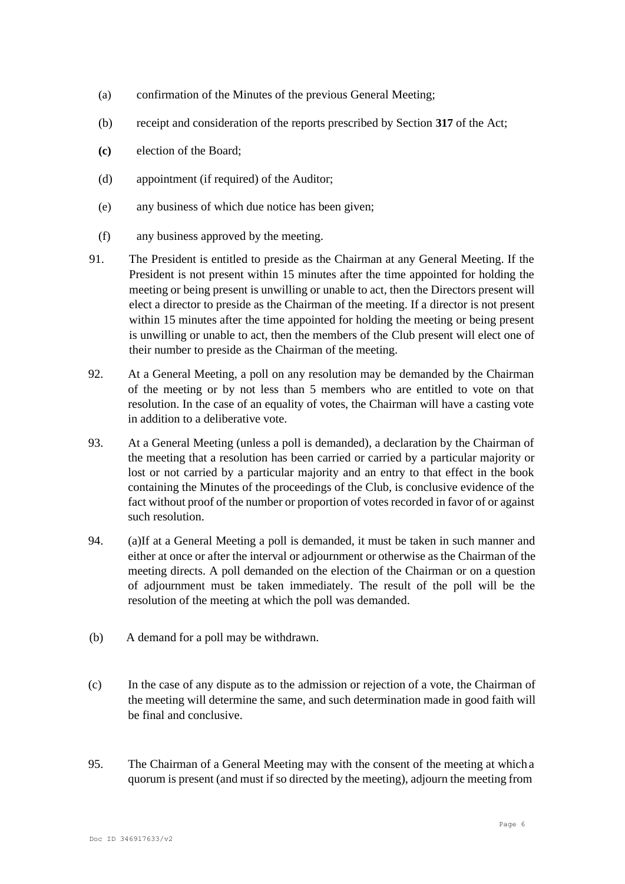- (a) confirmation of the Minutes of the previous General Meeting;
- (b) receipt and consideration of the reports prescribed by Section **317** of the Act;
- **(c)** election of the Board;
- (d) appointment (if required) of the Auditor;
- (e) any business of which due notice has been given;
- (f) any business approved by the meeting.
- 91. The President is entitled to preside as the Chairman at any General Meeting. If the President is not present within 15 minutes after the time appointed for holding the meeting or being present is unwilling or unable to act, then the Directors present will elect a director to preside as the Chairman of the meeting. If a director is not present within 15 minutes after the time appointed for holding the meeting or being present is unwilling or unable to act, then the members of the Club present will elect one of their number to preside as the Chairman of the meeting.
- 92. At a General Meeting, a poll on any resolution may be demanded by the Chairman of the meeting or by not less than 5 members who are entitled to vote on that resolution. In the case of an equality of votes, the Chairman will have a casting vote in addition to a deliberative vote.
- 93. At a General Meeting (unless a poll is demanded), a declaration by the Chairman of the meeting that a resolution has been carried or carried by a particular majority or lost or not carried by a particular majority and an entry to that effect in the book containing the Minutes of the proceedings of the Club, is conclusive evidence of the fact without proof of the number or proportion of votes recorded in favor of or against such resolution.
- 94. (a)If at a General Meeting a poll is demanded, it must be taken in such manner and either at once or after the interval or adjournment or otherwise as the Chairman of the meeting directs. A poll demanded on the election of the Chairman or on a question of adjournment must be taken immediately. The result of the poll will be the resolution of the meeting at which the poll was demanded.
- (b) A demand for a poll may be withdrawn.
- (c) In the case of any dispute as to the admission or rejection of a vote, the Chairman of the meeting will determine the same, and such determination made in good faith will be final and conclusive.
- 95. The Chairman of a General Meeting may with the consent of the meeting at which a quorum is present (and must if so directed by the meeting), adjourn the meeting from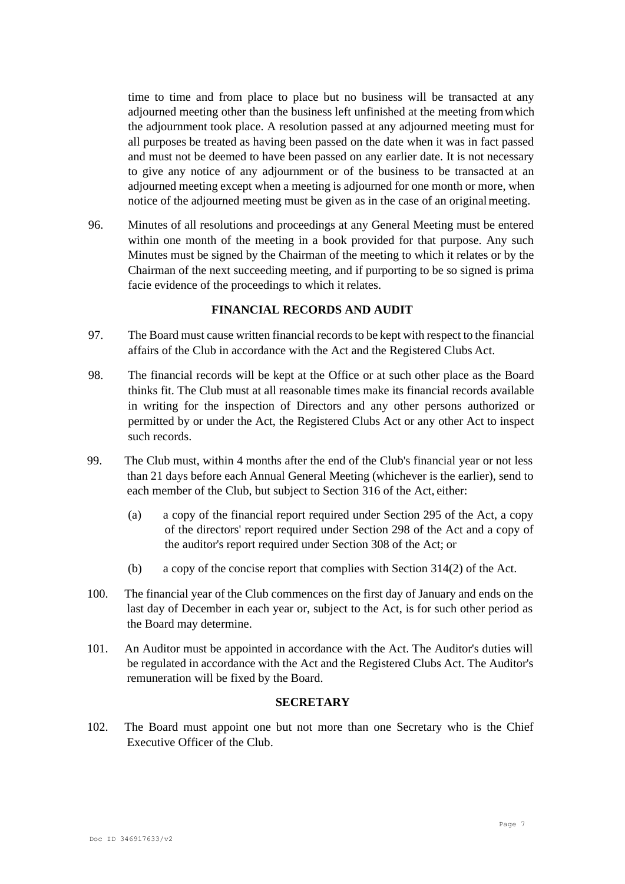time to time and from place to place but no business will be transacted at any adjourned meeting other than the business left unfinished at the meeting fromwhich the adjournment took place. A resolution passed at any adjourned meeting must for all purposes be treated as having been passed on the date when it was in fact passed and must not be deemed to have been passed on any earlier date. It is not necessary to give any notice of any adjournment or of the business to be transacted at an adjourned meeting except when a meeting is adjourned for one month or more, when notice of the adjourned meeting must be given as in the case of an originalmeeting.

96. Minutes of all resolutions and proceedings at any General Meeting must be entered within one month of the meeting in a book provided for that purpose. Any such Minutes must be signed by the Chairman of the meeting to which it relates or by the Chairman of the next succeeding meeting, and if purporting to be so signed is prima facie evidence of the proceedings to which it relates.

### **FINANCIAL RECORDS AND AUDIT**

- 97. The Board must cause written financial recordsto be kept with respect to the financial affairs of the Club in accordance with the Act and the Registered Clubs Act.
- 98. The financial records will be kept at the Office or at such other place as the Board thinks fit. The Club must at all reasonable times make its financial records available in writing for the inspection of Directors and any other persons authorized or permitted by or under the Act, the Registered Clubs Act or any other Act to inspect such records.
- 99. The Club must, within 4 months after the end of the Club's financial year or not less than 21 days before each Annual General Meeting (whichever is the earlier), send to each member of the Club, but subject to Section 316 of the Act, either:
	- (a) a copy of the financial report required under Section 295 of the Act, a copy of the directors' report required under Section 298 of the Act and a copy of the auditor's report required under Section 308 of the Act; or
	- (b) a copy of the concise report that complies with Section 314(2) of the Act.
- 100. The financial year of the Club commences on the first day of January and ends on the last day of December in each year or, subject to the Act, is for such other period as the Board may determine.
- 101. An Auditor must be appointed in accordance with the Act. The Auditor's duties will be regulated in accordance with the Act and the Registered Clubs Act. The Auditor's remuneration will be fixed by the Board.

### **SECRETARY**

102. The Board must appoint one but not more than one Secretary who is the Chief Executive Officer of the Club.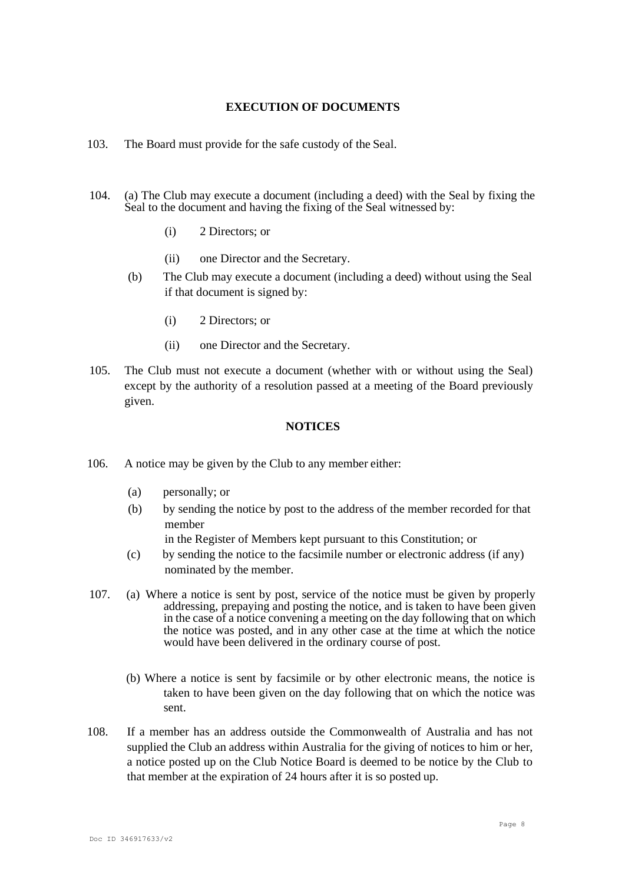#### **EXECUTION OF DOCUMENTS**

- 103. The Board must provide for the safe custody of the Seal.
- 104. (a) The Club may execute a document (including a deed) with the Seal by fixing the Seal to the document and having the fixing of the Seal witnessed by:
	- (i) 2 Directors; or
	- (ii) one Director and the Secretary.
	- (b) The Club may execute a document (including a deed) without using the Seal if that document is signed by:
		- (i) 2 Directors; or
		- (ii) one Director and the Secretary.
- 105. The Club must not execute a document (whether with or without using the Seal) except by the authority of a resolution passed at a meeting of the Board previously given.

### **NOTICES**

- 106. A notice may be given by the Club to any member either:
	- (a) personally; or
	- (b) by sending the notice by post to the address of the member recorded for that member

in the Register of Members kept pursuant to this Constitution; or

- (c) by sending the notice to the facsimile number or electronic address (if any) nominated by the member.
- 107. (a) Where a notice is sent by post, service of the notice must be given by properly addressing, prepaying and posting the notice, and is taken to have been given in the case of a notice convening a meeting on the day following that on which the notice was posted, and in any other case at the time at which the notice would have been delivered in the ordinary course of post.
	- (b) Where a notice is sent by facsimile or by other electronic means, the notice is taken to have been given on the day following that on which the notice was sent.
- 108. If a member has an address outside the Commonwealth of Australia and has not supplied the Club an address within Australia for the giving of notices to him or her, a notice posted up on the Club Notice Board is deemed to be notice by the Club to that member at the expiration of 24 hours after it is so posted up.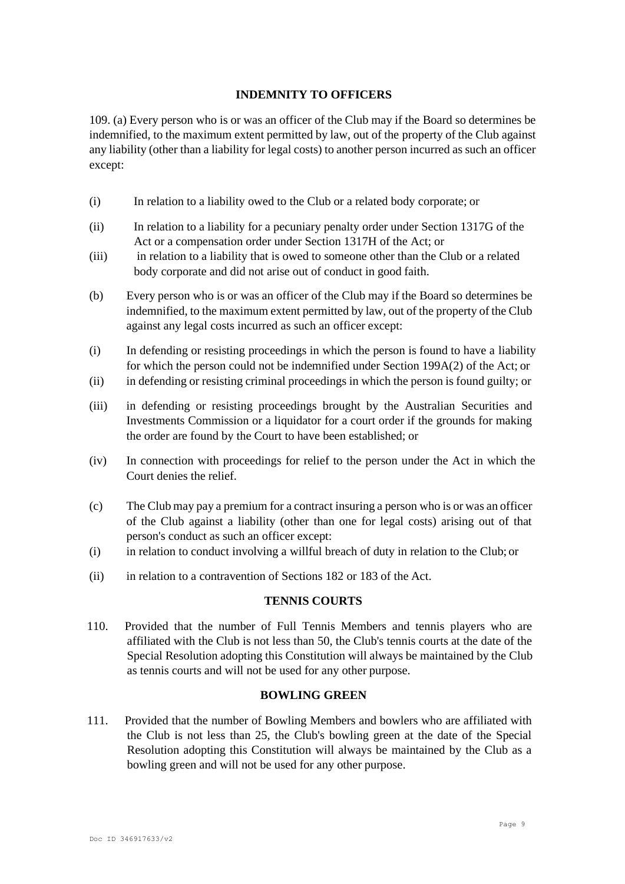# **INDEMNITY TO OFFICERS**

109. (a) Every person who is or was an officer of the Club may if the Board so determines be indemnified, to the maximum extent permitted by law, out of the property of the Club against any liability (other than a liability for legal costs) to another person incurred as such an officer except:

- (i) In relation to a liability owed to the Club or a related body corporate; or
- (ii) In relation to a liability for a pecuniary penalty order under Section 1317G of the Act or a compensation order under Section 1317H of the Act; or
- (iii) in relation to a liability that is owed to someone other than the Club or a related body corporate and did not arise out of conduct in good faith.
- (b) Every person who is or was an officer of the Club may if the Board so determines be indemnified, to the maximum extent permitted by law, out of the property of the Club against any legal costs incurred as such an officer except:
- (i) In defending or resisting proceedings in which the person is found to have a liability for which the person could not be indemnified under Section 199A(2) of the Act; or
- (ii) in defending or resisting criminal proceedings in which the person is found guilty; or
- (iii) in defending or resisting proceedings brought by the Australian Securities and Investments Commission or a liquidator for a court order if the grounds for making the order are found by the Court to have been established; or
- (iv) In connection with proceedings for relief to the person under the Act in which the Court denies the relief.
- (c) The Club may pay a premium for a contract insuring a person who is or was an officer of the Club against a liability (other than one for legal costs) arising out of that person's conduct as such an officer except:
- (i) in relation to conduct involving a willful breach of duty in relation to the Club; or
- (ii) in relation to a contravention of Sections 182 or 183 of the Act.

### **TENNIS COURTS**

110. Provided that the number of Full Tennis Members and tennis players who are affiliated with the Club is not less than 50, the Club's tennis courts at the date of the Special Resolution adopting this Constitution will always be maintained by the Club as tennis courts and will not be used for any other purpose.

#### **BOWLING GREEN**

111. Provided that the number of Bowling Members and bowlers who are affiliated with the Club is not less than 25, the Club's bowling green at the date of the Special Resolution adopting this Constitution will always be maintained by the Club as a bowling green and will not be used for any other purpose.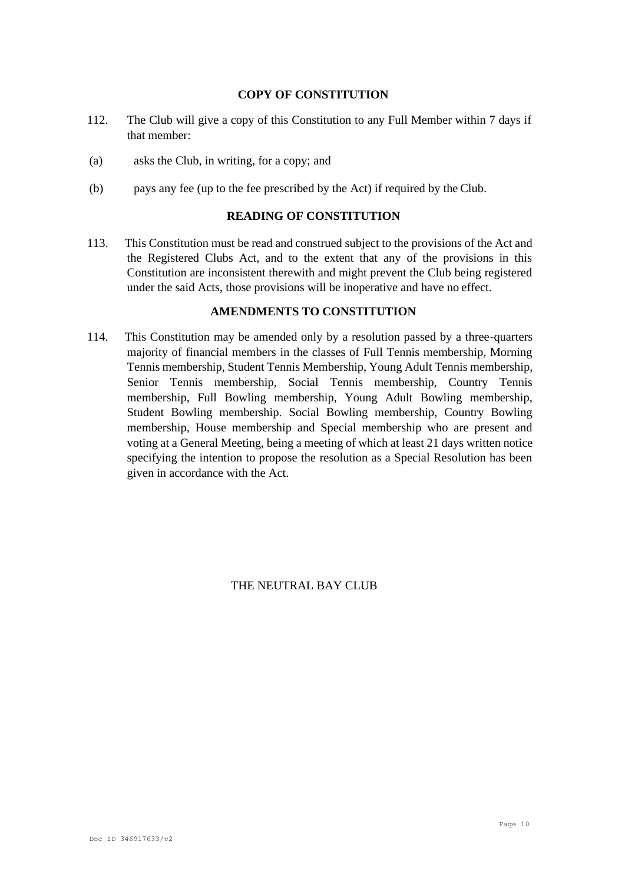### **COPY OF CONSTITUTION**

- 112. The Club will give a copy of this Constitution to any Full Member within 7 days if that member:
- (a) asks the Club, in writing, for a copy; and
- (b) pays any fee (up to the fee prescribed by the Act) if required by the Club.

### **READING OF CONSTITUTION**

113. This Constitution must be read and construed subject to the provisions of the Act and the Registered Clubs Act, and to the extent that any of the provisions in this Constitution are inconsistent therewith and might prevent the Club being registered under the said Acts, those provisions will be inoperative and have no effect.

# **AMENDMENTS TO CONSTITUTION**

114. This Constitution may be amended only by a resolution passed by a three-quarters majority of financial members in the classes of Full Tennis membership, Morning Tennis membership, Student Tennis Membership, Young Adult Tennis membership, Senior Tennis membership, Social Tennis membership, Country Tennis membership, Full Bowling membership, Young Adult Bowling membership, Student Bowling membership. Social Bowling membership, Country Bowling membership, House membership and Special membership who are present and voting at a General Meeting, being a meeting of which at least 21 days written notice specifying the intention to propose the resolution as a Special Resolution has been given in accordance with the Act.

THE NEUTRAL BAY CLUB